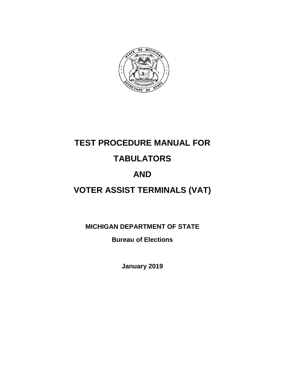

# **TEST PROCEDURE MANUAL FOR**

# **TABULATORS**

# **AND**

# **VOTER ASSIST TERMINALS (VAT)**

**MICHIGAN DEPARTMENT OF STATE**

**Bureau of Elections**

**January 2019**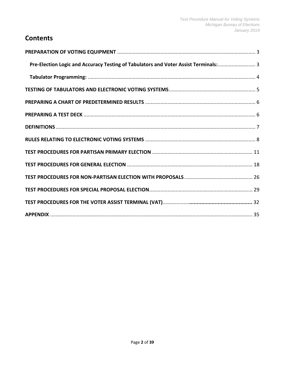# **Contents**

| Pre-Election Logic and Accuracy Testing of Tabulators and Voter Assist Terminals: 3 |  |
|-------------------------------------------------------------------------------------|--|
|                                                                                     |  |
|                                                                                     |  |
|                                                                                     |  |
|                                                                                     |  |
|                                                                                     |  |
|                                                                                     |  |
|                                                                                     |  |
|                                                                                     |  |
|                                                                                     |  |
|                                                                                     |  |
|                                                                                     |  |
|                                                                                     |  |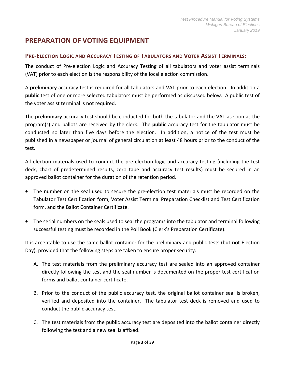# <span id="page-2-0"></span>**PREPARATION OF VOTING EQUIPMENT**

#### <span id="page-2-1"></span>**PRE-ELECTION LOGIC AND ACCURACY TESTING OF TABULATORS AND VOTER ASSIST TERMINALS:**

The conduct of Pre-election Logic and Accuracy Testing of all tabulators and voter assist terminals (VAT) prior to each election is the responsibility of the local election commission.

A **preliminary** accuracy test is required for all tabulators and VAT prior to each election. In addition a **public** test of one or more selected tabulators must be performed as discussed below. A public test of the voter assist terminal is not required.

The **preliminary** accuracy test should be conducted for both the tabulator and the VAT as soon as the program(s) and ballots are received by the clerk. The **public** accuracy test for the tabulator must be conducted no later than five days before the election. In addition, a notice of the test must be published in a newspaper or journal of general circulation at least 48 hours prior to the conduct of the test.

All election materials used to conduct the pre-election logic and accuracy testing (including the test deck, chart of predetermined results, zero tape and accuracy test results) must be secured in an approved ballot container for the duration of the retention period.

- The number on the seal used to secure the pre-election test materials must be recorded on the Tabulator Test Certification form, Voter Assist Terminal Preparation Checklist and Test Certification form, and the Ballot Container Certificate.
- The serial numbers on the seals used to seal the programs into the tabulator and terminal following successful testing must be recorded in the Poll Book (Clerk's Preparation Certificate).

It is acceptable to use the same ballot container for the preliminary and public tests (but **not** Election Day), provided that the following steps are taken to ensure proper security:

- A. The test materials from the preliminary accuracy test are sealed into an approved container directly following the test and the seal number is documented on the proper test certification forms and ballot container certificate.
- B. Prior to the conduct of the public accuracy test, the original ballot container seal is broken, verified and deposited into the container. The tabulator test deck is removed and used to conduct the public accuracy test.
- C. The test materials from the public accuracy test are deposited into the ballot container directly following the test and a new seal is affixed.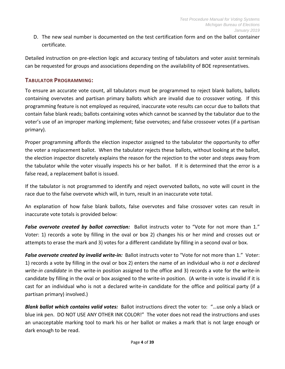D. The new seal number is documented on the test certification form and on the ballot container certificate.

Detailed instruction on pre-election logic and accuracy testing of tabulators and voter assist terminals can be requested for groups and associations depending on the availability of BOE representatives.

#### <span id="page-3-0"></span>**TABULATOR PROGRAMMING:**

To ensure an accurate vote count, all tabulators must be programmed to reject blank ballots, ballots containing overvotes and partisan primary ballots which are invalid due to crossover voting. If this programming feature is not employed as required, inaccurate vote results can occur due to ballots that contain false blank reads; ballots containing votes which cannot be scanned by the tabulator due to the voter's use of an improper marking implement; false overvotes; and false crossover votes (if a partisan primary).

Proper programming affords the election inspector assigned to the tabulator the opportunity to offer the voter a replacement ballot. When the tabulator rejects these ballots, without looking at the ballot, the election inspector discretely explains the reason for the rejection to the voter and steps away from the tabulator while the voter visually inspects his or her ballot. If it is determined that the error is a false read, a replacement ballot is issued.

If the tabulator is not programmed to identify and reject overvoted ballots, no vote will count in the race due to the false overvote which will, in turn, result in an inaccurate vote total.

An explanation of how false blank ballots, false overvotes and false crossover votes can result in inaccurate vote totals is provided below:

*False overvote created by ballot correction:* Ballot instructs voter to "Vote for not more than 1." Voter: 1) records a vote by filling in the oval or box 2) changes his or her mind and crosses out or attempts to erase the mark and 3) votes for a different candidate by filling in a second oval or box.

*False overvote created by invalid write-in:* Ballot instructs voter to "Vote for not more than 1." Voter: 1) records a vote by filling in the oval or box 2) enters the name of an individual who *is not a declared write-in candidate* in the write-in position assigned to the office and 3) records a vote for the write-in candidate by filling in the oval or box assigned to the write-in position. (A write-in vote is invalid if it is cast for an individual who is not a declared write-in candidate for the office and political party (if a partisan primary) involved.)

*Blank ballot which contains valid votes:* Ballot instructions direct the voter to: "…use only a black or blue ink pen. DO NOT USE ANY OTHER INK COLOR!" The voter does not read the instructions and uses an unacceptable marking tool to mark his or her ballot or makes a mark that is not large enough or dark enough to be read.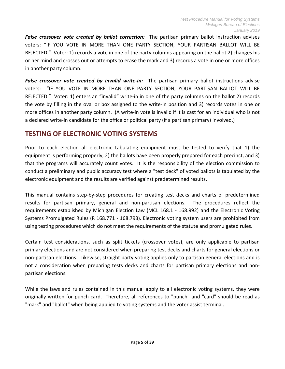*False crossover vote created by ballot correction:* The partisan primary ballot instruction advises voters: "IF YOU VOTE IN MORE THAN ONE PARTY SECTION, YOUR PARTISAN BALLOT WILL BE REJECTED." Voter: 1) records a vote in one of the party columns appearing on the ballot 2) changes his or her mind and crosses out or attempts to erase the mark and 3) records a vote in one or more offices in another party column.

*False crossover vote created by invalid write-in:* The partisan primary ballot instructions advise voters: "IF YOU VOTE IN MORE THAN ONE PARTY SECTION, YOUR PARTISAN BALLOT WILL BE REJECTED." Voter: 1) enters an "invalid" write-in in one of the party columns on the ballot 2) records the vote by filling in the oval or box assigned to the write-in position and 3) records votes in one or more offices in another party column. (A write-in vote is invalid if it is cast for an individual who is not a declared write-in candidate for the office or political party (if a partisan primary) involved.)

## <span id="page-4-0"></span>**TESTING OF ELECTRONIC VOTING SYSTEMS**

Prior to each election all electronic tabulating equipment must be tested to verify that 1) the equipment is performing properly, 2) the ballots have been properly prepared for each precinct, and 3) that the programs will accurately count votes. It is the responsibility of the election commission to conduct a preliminary and public accuracy test where a "test deck" of voted ballots is tabulated by the electronic equipment and the results are verified against predetermined results.

This manual contains step-by-step procedures for creating test decks and charts of predetermined results for partisan primary, general and non-partisan elections. The procedures reflect the requirements established by Michigan Election Law (MCL 168.1 - 168.992) and the Electronic Voting Systems Promulgated Rules (R 168.771 - 168.793). Electronic voting system users are prohibited from using testing procedures which do not meet the requirements of the statute and promulgated rules.

Certain test considerations, such as split tickets (crossover votes), are only applicable to partisan primary elections and are not considered when preparing test decks and charts for general elections or non-partisan elections. Likewise, straight party voting applies only to partisan general elections and is not a consideration when preparing tests decks and charts for partisan primary elections and nonpartisan elections.

While the laws and rules contained in this manual apply to all electronic voting systems, they were originally written for punch card. Therefore, all references to "punch" and "card" should be read as "mark" and "ballot" when being applied to voting systems and the voter assist terminal.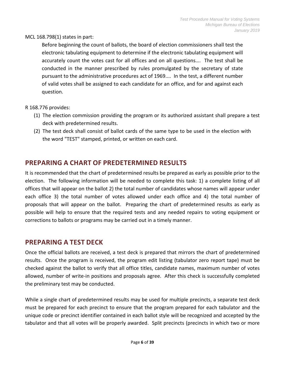#### MCL 168.798(1) states in part:

Before beginning the count of ballots, the board of election commissioners shall test the electronic tabulating equipment to determine if the electronic tabulating equipment will accurately count the votes cast for all offices and on all questions…. The test shall be conducted in the manner prescribed by rules promulgated by the secretary of state pursuant to the administrative procedures act of 1969.... In the test, a different number of valid votes shall be assigned to each candidate for an office, and for and against each question.

#### R 168.776 provides:

- (1) The election commission providing the program or its authorized assistant shall prepare a test deck with predetermined results.
- (2) The test deck shall consist of ballot cards of the same type to be used in the election with the word "TEST" stamped, printed, or written on each card.

## <span id="page-5-0"></span>**PREPARING A CHART OF PREDETERMINED RESULTS**

It is recommended that the chart of predetermined results be prepared as early as possible prior to the election. The following information will be needed to complete this task: 1) a complete listing of all offices that will appear on the ballot 2) the total number of candidates whose names will appear under each office 3) the total number of votes allowed under each office and 4) the total number of proposals that will appear on the ballot. Preparing the chart of predetermined results as early as possible will help to ensure that the required tests and any needed repairs to voting equipment or corrections to ballots or programs may be carried out in a timely manner.

### <span id="page-5-1"></span>**PREPARING A TEST DECK**

Once the official ballots are received, a test deck is prepared that mirrors the chart of predetermined results. Once the program is received, the program edit listing (tabulator zero report tape) must be checked against the ballot to verify that all office titles, candidate names, maximum number of votes allowed, number of write-in positions and proposals agree. After this check is successfully completed the preliminary test may be conducted.

While a single chart of predetermined results may be used for multiple precincts, a separate test deck must be prepared for each precinct to ensure that the program prepared for each tabulator and the unique code or precinct identifier contained in each ballot style will be recognized and accepted by the tabulator and that all votes will be properly awarded. Split precincts (precincts in which two or more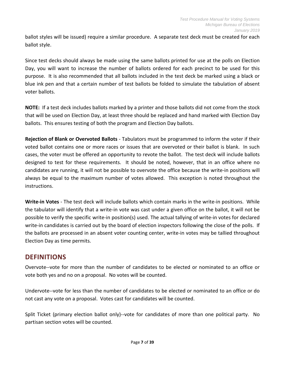ballot styles will be issued) require a similar procedure. A separate test deck must be created for each ballot style.

Since test decks should always be made using the same ballots printed for use at the polls on Election Day, you will want to increase the number of ballots ordered for each precinct to be used for this purpose. It is also recommended that all ballots included in the test deck be marked using a black or blue ink pen and that a certain number of test ballots be folded to simulate the tabulation of absent voter ballots.

**NOTE:** If a test deck includes ballots marked by a printer and those ballots did not come from the stock that will be used on Election Day, at least three should be replaced and hand marked with Election Day ballots. This ensures testing of both the program and Election Day ballots.

**Rejection of Blank or Overvoted Ballots** - Tabulators must be programmed to inform the voter if their voted ballot contains one or more races or issues that are overvoted or their ballot is blank. In such cases, the voter must be offered an opportunity to revote the ballot. The test deck will include ballots designed to test for these requirements. It should be noted, however, that in an office where no candidates are running, it will not be possible to overvote the office because the write-in positions will always be equal to the maximum number of votes allowed. This exception is noted throughout the instructions.

**Write-in Votes** - The test deck will include ballots which contain marks in the write-in positions. While the tabulator will identify that a write-in vote was cast under a given office on the ballot, it will not be possible to verify the specific write-in position(s) used. The actual tallying of write-in votes for declared write-in candidates is carried out by the board of election inspectors following the close of the polls. If the ballots are processed in an absent voter counting center, write-in votes may be tallied throughout Election Day as time permits.

## <span id="page-6-0"></span>**DEFINITIONS**

Overvote--vote for more than the number of candidates to be elected or nominated to an office or vote both yes and no on a proposal. No votes will be counted.

Undervote--vote for less than the number of candidates to be elected or nominated to an office or do not cast any vote on a proposal. Votes cast for candidates will be counted.

Split Ticket (primary election ballot only)--vote for candidates of more than one political party. No partisan section votes will be counted.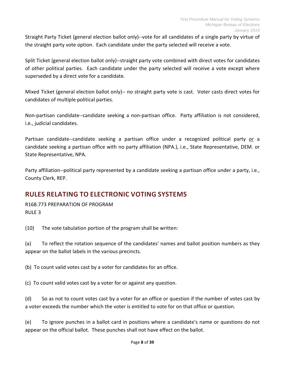Straight Party Ticket (general election ballot only)--vote for all candidates of a single party by virtue of the straight party vote option. Each candidate under the party selected will receive a vote.

Split Ticket (general election ballot only)--straight party vote combined with direct votes for candidates of other political parties. Each candidate under the party selected will receive a vote except where superseded by a direct vote for a candidate.

Mixed Ticket (general election ballot only)-- no straight party vote is cast. Voter casts direct votes for candidates of multiple political parties.

Non-partisan candidate--candidate seeking a non-partisan office. Party affiliation is not considered, i.e., judicial candidates.

Partisan candidate--candidate seeking a partisan office under a recognized political party or a candidate seeking a partisan office with no party affiliation (NPA.), i.e., State Representative, DEM. or State Representative, NPA.

Party affiliation--political party represented by a candidate seeking a partisan office under a party, i.e., County Clerk, REP.

# <span id="page-7-0"></span>**RULES RELATING TO ELECTRONIC VOTING SYSTEMS**

R168.773 PREPARATION OF PROGRAM RULE 3

(10) The vote tabulation portion of the program shall be written:

(a) To reflect the rotation sequence of the candidates' names and ballot position numbers as they appear on the ballot labels in the various precincts.

(b) To count valid votes cast by a voter for candidates for an office.

(c) To count valid votes cast by a voter for or against any question.

(d) So as not to count votes cast by a voter for an office or question if the number of votes cast by a voter exceeds the number which the voter is entitled to vote for on that office or question.

(e) To ignore punches in a ballot card in positions where a candidate's name or questions do not appear on the official ballot. These punches shall not have effect on the ballot.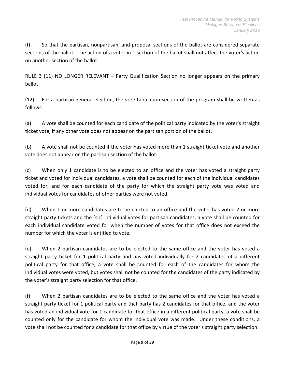(f) So that the partisan, nonpartisan, and proposal sections of the ballot are considered separate sections of the ballot. The action of a voter in 1 section of the ballot shall not affect the voter's action on another section of the ballot.

RULE 3 (11) NO LONGER RELEVANT – Party Qualification Section no longer appears on the primary ballot

(12) For a partisan general election, the vote tabulation section of the program shall be written as follows:

(a) A vote shall be counted for each candidate of the political party indicated by the voter's straight ticket vote, if any other vote does not appear on the partisan portion of the ballot.

(b) A vote shall not be counted if the voter has voted more than 1 straight ticket vote and another vote does not appear on the partisan section of the ballot.

(c) When only 1 candidate is to be elected to an office and the voter has voted a straight party ticket and voted for individual candidates, a vote shall be counted for each of the individual candidates voted for, and for each candidate of the party for which the straight party vote was voted and individual votes for candidates of other parties were not voted.

(d) When 1 or more candidates are to be elected to an office and the voter has voted 2 or more straight party tickets and the [sic] individual votes for partisan candidates, a vote shall be counted for each individual candidate voted for when the number of votes for that office does not exceed the number for which the voter is entitled to vote.

(e) When 2 partisan candidates are to be elected to the same office and the voter has voted a straight party ticket for 1 political party and has voted individually for 2 candidates of a different political party for that office, a vote shall be counted for each of the candidates for whom the individual votes were voted, but votes shall not be counted for the candidates of the party indicated by the voter's straight party selection for that office.

(f) When 2 partisan candidates are to be elected to the same office and the voter has voted a straight party ticket for 1 political party and that party has 2 candidates for that office, and the voter has voted an individual vote for 1 candidate for that office in a different political party, a vote shall be counted only for the candidate for whom the individual vote was made. Under these conditions, a vote shall not be counted for a candidate for that office by virtue of the voter's straight party selection.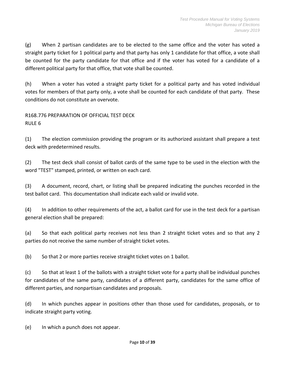(g) When 2 partisan candidates are to be elected to the same office and the voter has voted a straight party ticket for 1 political party and that party has only 1 candidate for that office, a vote shall be counted for the party candidate for that office and if the voter has voted for a candidate of a different political party for that office, that vote shall be counted.

(h) When a voter has voted a straight party ticket for a political party and has voted individual votes for members of that party only, a vote shall be counted for each candidate of that party. These conditions do not constitute an overvote.

R168.776 PREPARATION OF OFFICIAL TEST DECK RULE 6

(1) The election commission providing the program or its authorized assistant shall prepare a test deck with predetermined results.

(2) The test deck shall consist of ballot cards of the same type to be used in the election with the word "TEST" stamped, printed, or written on each card.

(3) A document, record, chart, or listing shall be prepared indicating the punches recorded in the test ballot card. This documentation shall indicate each valid or invalid vote.

(4) In addition to other requirements of the act, a ballot card for use in the test deck for a partisan general election shall be prepared:

(a) So that each political party receives not less than 2 straight ticket votes and so that any 2 parties do not receive the same number of straight ticket votes.

(b) So that 2 or more parties receive straight ticket votes on 1 ballot.

(c) So that at least 1 of the ballots with a straight ticket vote for a party shall be individual punches for candidates of the same party, candidates of a different party, candidates for the same office of different parties, and nonpartisan candidates and proposals.

(d) In which punches appear in positions other than those used for candidates, proposals, or to indicate straight party voting.

(e) In which a punch does not appear.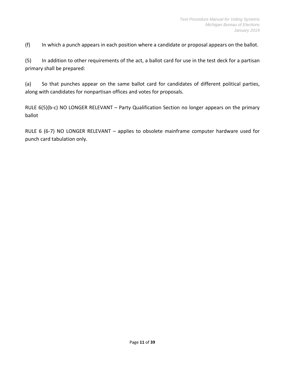(f) In which a punch appears in each position where a candidate or proposal appears on the ballot.

(5) In addition to other requirements of the act, a ballot card for use in the test deck for a partisan primary shall be prepared:

(a) So that punches appear on the same ballot card for candidates of different political parties, along with candidates for nonpartisan offices and votes for proposals.

RULE 6(5)(b-c) NO LONGER RELEVANT – Party Qualification Section no longer appears on the primary ballot

<span id="page-10-0"></span>RULE 6 (6-7) NO LONGER RELEVANT – applies to obsolete mainframe computer hardware used for punch card tabulation only.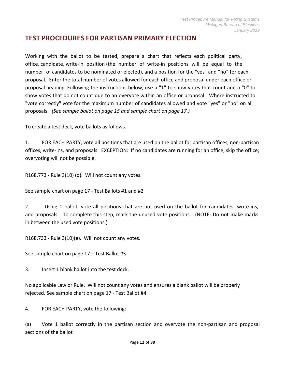## **TEST PROCEDURES FOR PARTISAN PRIMARY ELECTION**

Working with the ballot to be tested, prepare a chart that reflects each political party, office, candidate, write-in position (the number of write-in positions will be equal to the number of candidates to be nominated or elected), and a position for the "yes" and "no" for each proposal. Enter the total number of votes allowed for each office and proposal under each office or proposal heading. Following the instructions below, use a "1" to show votes that count and a "0" to show votes that do not count due to an overvote within an office or proposal. Where instructed to "vote correctly" vote for the maximum number of candidates allowed and vote "yes" or "no" on all proposals. *(See sample ballot on page 15 and sample chart on page 17.)*

To create a test deck, vote ballots as follows.

1. FOR EACH PARTY, vote all positions that are used on the ballot for partisan offices, non-partisan offices, write-ins, and proposals. EXCEPTION: If no candidates are running for an office, skip the office; overvoting will not be possible.

R168.773 - Rule 3(10) (d). Will not count any votes.

See sample chart on page 17 - Test Ballots #1 and #2

2. Using 1 ballot, vote all positions that are not used on the ballot for candidates, write-ins, and proposals. To complete this step, mark the unused vote positions. (NOTE: Do not make marks in between the used vote positions.)

R168.733 - Rule 3(10)(e). Will not count any votes.

See sample chart on page 17 – Test Ballot #3

3. Insert 1 blank ballot into the test deck.

No applicable Law or Rule. Will not count any votes and ensures a blank ballot will be properly rejected. See sample chart on page 17 - Test Ballot #4

4. FOR EACH PARTY, vote the following:

(a) Vote 1 ballot correctly in the partisan section and overvote the non-partisan and proposal sections of the ballot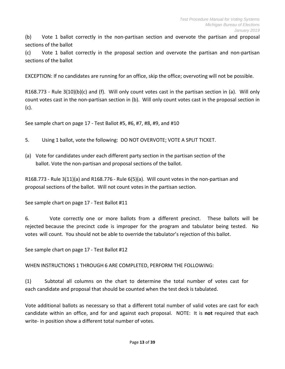(b) Vote 1 ballot correctly in the non-partisan section and overvote the partisan and proposal sections of the ballot

(c) Vote 1 ballot correctly in the proposal section and overvote the partisan and non-partisan sections of the ballot

EXCEPTION: If no candidates are running for an office, skip the office; overvoting will not be possible.

R168.773 - Rule 3(10)(b)(c) and (f). Will only count votes cast in the partisan section in (a). Will only count votes cast in the non-partisan section in (b). Will only count votes cast in the proposal section in (c).

See sample chart on page 17 - Test Ballot #5, #6, #7, #8, #9, and #10

- 5. Using 1 ballot, vote the following: DO NOT OVERVOTE; VOTE A SPLIT TICKET.
- (a) Vote for candidates under each different party section in the partisan section of the ballot. Vote the non-partisan and proposal sections of the ballot.

R168.773 - Rule 3(11)(a) and R168.776 - Rule 6(5)(a). Will count votes in the non-partisan and proposal sections of the ballot. Will not count votes in the partisan section.

See sample chart on page 17 - Test Ballot #11

6. Vote correctly one or more ballots from a different precinct. These ballots will be rejected because the precinct code is improper for the program and tabulator being tested. No votes will count. You should not be able to override the tabulator's rejection of this ballot.

See sample chart on page 17 - Test Ballot #12

WHEN INSTRUCTIONS 1 THROUGH 6 ARE COMPLETED, PERFORM THE FOLLOWING:

(1) Subtotal all columns on the chart to determine the total number of votes cast for each candidate and proposal that should be counted when the test deck is tabulated.

Vote additional ballots as necessary so that a different total number of valid votes are cast for each candidate within an office, and for and against each proposal. NOTE: It is **not** required that each write- in position show a different total number of votes.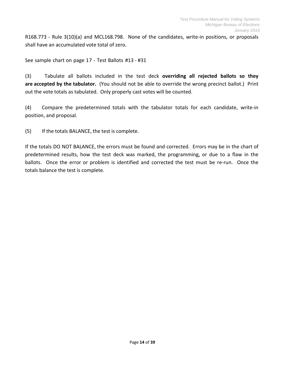R168.773 - Rule 3(10)(a) and MCL168.798. None of the candidates, write-in positions, or proposals shall have an accumulated vote total of zero.

See sample chart on page 17 - Test Ballots #13 - #31

(3) Tabulate all ballots included in the test deck **overriding all rejected ballots so they are accepted by the tabulator.** (You should not be able to override the wrong precinct ballot.) Print out the vote totals as tabulated. Only properly cast votes will be counted.

(4) Compare the predetermined totals with the tabulator totals for each candidate, write-in position, and proposal.

(5) If the totals BALANCE, the test is complete.

If the totals DO NOT BALANCE, the errors must be found and corrected. Errors may be in the chart of predetermined results, how the test deck was marked, the programming, or due to a flaw in the ballots. Once the error or problem is identified and corrected the test must be re-run. Once the totals balance the test is complete.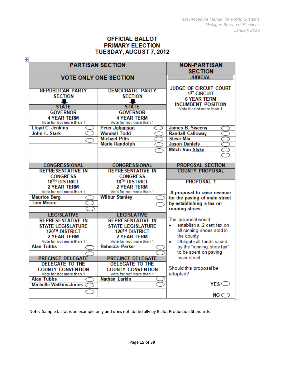#### **OFFICIAL BALLOT PRIMARY ELECTION** TUESDAY, AUGUST 7, 2012

| 4                             | <b>PARTISAN SECTION</b>      | <b>NON-PARTISAN</b>                      |
|-------------------------------|------------------------------|------------------------------------------|
|                               |                              | <b>SECTION</b>                           |
|                               | <b>VOTE ONLY ONE SECTION</b> | <b>JUDICIAL</b>                          |
|                               |                              | <b>JUDGE OF CIRCUIT COURT</b>            |
| <b>REPUBLICAN PARTY</b>       | <b>DEMOCRATIC PARTY</b>      | 1 <sup>ST</sup> CIRCUIT                  |
| <b>SECTION</b>                | <b>SECTION</b>               | <b>6 YEAR TERM</b>                       |
|                               |                              | <b>INCUMBENT POSITION</b>                |
| <b>STATE</b>                  | <b>STATE</b>                 | Vote for not more than 1                 |
| <b>GOVERNOR</b>               | <b>GOVERNOR</b>              |                                          |
| <b>4 YEAR TERM</b>            | <b>4 YEAR TERM</b>           |                                          |
| Vote for not more than 1      | Vote for not more than 1     |                                          |
| <b>Lloyd C. Jenkins</b>       | Peter Johanson               | James B. Sweeny                          |
| John L. Stark                 | <b>Wendell Todd</b>          | <b>Randall Calloway</b>                  |
|                               | <b>Michael Pitts</b>         | <b>Steve Mix</b><br><b>Jason Daniels</b> |
|                               | <b>Marie Randolph</b>        |                                          |
|                               |                              | Mitch Van Slyke                          |
|                               |                              |                                          |
| <b>CONGRESSIONAL</b>          | <b>CONGRESSIONAL</b>         | <b>PROPOSAL SECTION</b>                  |
| <b>REPRESENTATIVE IN</b>      | <b>REPRESENTATIVE IN</b>     | <b>COUNTY PROPOSAL</b>                   |
| <b>CONGRESS</b>               | <b>CONGRESS</b>              |                                          |
| 18TH DISTRICT                 | 18 <sup>TH</sup> DISTRICT    | <b>PROPOSAL 1</b>                        |
| 2 YEAR TERM                   | 2 YEAR TERM                  |                                          |
| Vote for not more than 1      | Vote for not more than 1     | A proposal to raise revenue              |
| <b>Maurice Berg</b>           | <b>Wilbur Stanley</b>        | for the paving of main street            |
| <b>Tom Moore</b>              |                              | by establishing a tax on                 |
|                               |                              | running shoes.                           |
| <b>LEGISLATIVE</b>            | <b>LEGISLATIVE</b>           |                                          |
| <b>REPRESENTATIVE IN</b>      | <b>REPRESENTATIVE IN</b>     | The proposal would:                      |
| <b>STATE LEGISLATURE</b>      | <b>STATE LEGISLATURE</b>     | establish a .2 cent tax on<br>$\bullet$  |
| 120TH DISTRICT                | 120TH DISTRICT               | all running shoes sold in                |
| <b>2 YEAR TERM</b>            | <b>2 YEAR TERM</b>           | the county                               |
| Vote for not more than 1      | Vote for not more than 1     | Obligate all funds raised<br>۰           |
| <b>Alan Tubbs</b>             | <b>Rebecca Parker</b>        | by the "running shoe tax"                |
|                               |                              | to be spent on paving                    |
| <b>PRECINCT DELEGATE</b>      | <b>PRECINCT DELEGATE</b>     | main street                              |
| <b>DELEGATE TO THE</b>        | <b>DELEGATE TO THE</b>       |                                          |
| <b>COUNTY CONVENTION</b>      | <b>COUNTY CONVENTION</b>     | Should this proposal be                  |
| Vote for not more than 1      | Vote for not more than 1     | adopted?                                 |
| <b>Alan Tubbs</b>             | <b>Nathan Larkin</b>         | YES                                      |
| <b>Michelle Watkins-Jones</b> |                              |                                          |
|                               |                              | NO <                                     |

Note: Sample ballot is an example only and does not abide fully by Ballot Production Standards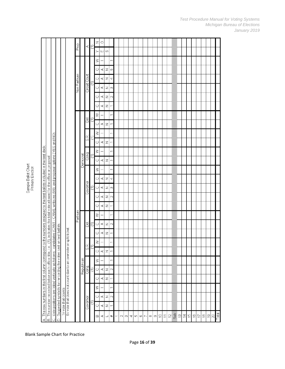| - |  |
|---|--|
|   |  |

|                                                                       |                                                                  |                                                                                                                      |                     |                                                                | $rac{9}{5}$  |            | ¢             | ε | $\mathbb Z$ | $\circ$ |                |                |   |        |          |   |     |         |                |          |          |         |                |                |            |               |                |               |                                |                |                                |                                  |           |       |
|-----------------------------------------------------------------------|------------------------------------------------------------------|----------------------------------------------------------------------------------------------------------------------|---------------------|----------------------------------------------------------------|--------------|------------|---------------|---|-------------|---------|----------------|----------------|---|--------|----------|---|-----|---------|----------------|----------|----------|---------|----------------|----------------|------------|---------------|----------------|---------------|--------------------------------|----------------|--------------------------------|----------------------------------|-----------|-------|
|                                                                       |                                                                  |                                                                                                                      |                     |                                                                |              |            |               |   | ≻           | Ш       | O)             |                |   |        |          |   |     |         |                |          |          |         |                |                |            |               |                |               |                                |                |                                |                                  |           |       |
|                                                                       |                                                                  |                                                                                                                      |                     |                                                                |              |            |               |   | ≧           |         |                | Γ              |   |        |          |   |     |         |                |          |          |         |                |                |            |               |                |               |                                |                |                                |                                  |           |       |
|                                                                       |                                                                  |                                                                                                                      |                     |                                                                |              |            |               |   | Ō           | ⋖       | z              | LO.            |   |        |          |   |     |         |                |          |          |         |                |                |            |               |                |               |                                |                |                                |                                  |           |       |
|                                                                       |                                                                  |                                                                                                                      |                     |                                                                |              |            |               |   | $\circ$     | ⋖       | z              | 4              |   |        |          |   |     |         |                |          |          |         |                |                |            |               |                |               |                                |                |                                |                                  |           |       |
|                                                                       |                                                                  |                                                                                                                      |                     |                                                                | Non Partisan |            | Circuit Court | Ξ | $\circ$     | ⋖       | Z              | S              |   |        |          |   |     |         |                |          |          |         |                |                |            |               |                |               |                                |                |                                |                                  |           |       |
|                                                                       |                                                                  |                                                                                                                      |                     |                                                                |              |            |               |   | O           | ⋖       | z              | $\sim$         |   |        |          |   |     |         |                |          |          |         |                |                |            |               |                |               |                                |                |                                |                                  |           |       |
|                                                                       |                                                                  |                                                                                                                      |                     |                                                                |              |            |               |   | Ö           | ⋖       | z              | $\overline{}$  |   |        |          |   |     |         |                |          |          |         |                |                |            |               |                |               |                                |                |                                |                                  |           |       |
|                                                                       |                                                                  |                                                                                                                      |                     |                                                                |              |            |               |   | $\geq$      |         |                | $\overline{}$  |   |        |          |   |     |         |                |          |          |         |                |                |            |               |                |               |                                |                |                                |                                  |           |       |
|                                                                       |                                                                  |                                                                                                                      |                     |                                                                |              |            | Ā             | Ξ | Ō           | Æ,      | Z              | $\overline{ }$ |   |        |          |   |     |         |                |          |          |         |                |                |            |               |                |               |                                |                |                                |                                  |           |       |
|                                                                       |                                                                  |                                                                                                                      |                     |                                                                |              |            |               |   | ≿           |         |                | $\overline{ }$ |   |        |          |   |     |         |                |          |          |         |                |                |            |               |                |               |                                |                |                                |                                  |           |       |
|                                                                       |                                                                  |                                                                                                                      |                     |                                                                |              |            | SR.           | ε | O           | ⋖       | z              | ۳              |   |        |          |   |     |         |                |          |          |         |                |                |            |               |                |               |                                |                |                                |                                  |           |       |
| to the numbers assigned to the test ballots included in the test deck |                                                                  | - CAN4), write-ins (WI), and proposal options (YES and NO)                                                           |                     |                                                                |              |            |               |   | $\geq$      |         |                | Τ              |   |        |          |   |     |         |                |          |          |         |                |                |            |               |                |               |                                |                |                                |                                  |           |       |
|                                                                       |                                                                  |                                                                                                                      |                     |                                                                |              | Democrat   | Cong.         | Ξ | $\circ$     | Æ,      | z              | $\overline{ }$ |   |        |          |   |     |         |                |          |          |         |                |                |            |               |                |               |                                |                |                                |                                  |           |       |
|                                                                       | (1), indicates the total vote allowed for the office or proposal |                                                                                                                      |                     |                                                                |              |            |               |   | ≧           |         |                | $\overline{ }$ |   |        |          |   |     |         |                |          |          |         |                |                |            |               |                |               |                                |                |                                |                                  |           |       |
|                                                                       |                                                                  |                                                                                                                      |                     |                                                                |              |            |               |   | O           | ⋖       | z              | 4              |   |        |          |   |     |         |                |          |          |         |                |                |            |               |                |               |                                |                |                                |                                  |           |       |
|                                                                       |                                                                  |                                                                                                                      |                     |                                                                |              |            | Governor      | E | $\circ$     | ď,      | z              | 3              |   |        |          |   |     |         |                |          |          |         |                |                |            |               |                |               |                                |                |                                |                                  |           |       |
|                                                                       |                                                                  |                                                                                                                      |                     |                                                                |              |            |               |   | O           | Æ,      | z              | $\sim$         |   |        |          |   |     |         |                |          |          |         |                |                |            |               |                |               |                                |                |                                |                                  |           |       |
|                                                                       |                                                                  |                                                                                                                      |                     |                                                                |              |            |               |   | Ō           | ⋖       | z              | T              |   |        |          |   |     |         |                |          |          |         |                |                |            |               |                |               |                                |                |                                |                                  |           |       |
|                                                                       |                                                                  |                                                                                                                      |                     |                                                                | Partisan     |            |               |   | $\geq$      |         |                | $\overline{}$  |   |        |          |   |     |         |                |          |          |         |                |                |            |               |                |               |                                |                |                                |                                  |           |       |
|                                                                       |                                                                  |                                                                                                                      |                     |                                                                |              |            | g             | ε | $\circ$     | Æ,      | z              | $\sim$         |   |        |          |   |     |         |                |          |          |         |                |                |            |               |                |               |                                |                |                                |                                  |           |       |
|                                                                       |                                                                  |                                                                                                                      |                     |                                                                |              |            |               |   | O           | ⋖       | z              | $\overline{ }$ |   |        |          |   |     |         |                |          |          |         |                |                |            |               |                |               |                                |                |                                |                                  |           |       |
|                                                                       |                                                                  | candidates (CAN1                                                                                                     |                     |                                                                |              |            |               |   | $\geqslant$ |         |                | $\overline{ }$ |   |        |          |   |     |         |                |          |          |         |                |                |            |               |                |               |                                |                |                                |                                  |           |       |
|                                                                       |                                                                  |                                                                                                                      |                     |                                                                |              |            | Ø             |   | $\circ$     | ⋖       | $\mathbb Z$    | $\overline{}$  |   |        |          |   |     |         |                |          |          |         |                |                |            |               |                |               |                                |                |                                |                                  |           |       |
|                                                                       |                                                                  |                                                                                                                      |                     |                                                                |              |            |               |   | $\geq$      |         |                | ۳              |   |        |          |   |     |         |                |          |          |         |                |                |            |               |                |               |                                |                |                                |                                  |           |       |
|                                                                       |                                                                  |                                                                                                                      |                     |                                                                |              | Republican | Cong.         | Ξ | $\circ$     | ⋖       | $\mathbb Z$    | $\sim$         |   |        |          |   |     |         |                |          |          |         |                |                |            |               |                |               |                                |                |                                |                                  |           |       |
|                                                                       |                                                                  |                                                                                                                      |                     |                                                                |              |            |               |   | Ō           | 4       | Z              | $\overline{ }$ |   |        |          |   |     |         |                |          |          |         |                |                |            |               |                |               |                                |                |                                |                                  |           |       |
|                                                                       |                                                                  |                                                                                                                      |                     |                                                                |              |            |               |   | $\geq$      |         |                | $\overline{ }$ |   |        |          |   |     |         |                |          |          |         |                |                |            |               |                |               |                                |                |                                |                                  |           |       |
|                                                                       |                                                                  |                                                                                                                      |                     |                                                                |              |            |               |   | $\circ$     | A,      | $\overline{z}$ | $\sim$         |   |        |          |   |     |         |                |          |          |         |                |                |            |               |                |               |                                |                |                                |                                  |           |       |
|                                                                       | The number recorded below each office title, i.e                 | Suggested symbols for rercording the votes cast on test ballots:<br>Vote positions are listed vertically as follows: | 1= vote that counts | 0= vote that does not count due to an overvote or split ticket |              |            | Governor      | ۳ | $\circ$     | ⋖       | Z              | Σ              |   |        |          |   |     |         |                |          |          |         |                |                |            |               |                |               |                                |                |                                |                                  |           |       |
| A. The row numbers in the first column correspond                     |                                                                  |                                                                                                                      |                     |                                                                |              |            |               |   | m           | $\prec$ | ┙              | $\ddot{}$      | τ | $\sim$ | $\infty$ | 4 | LO. | $\circ$ | $\overline{ }$ | $\infty$ | $\infty$ | $\cong$ | $\overline{1}$ | $\overline{C}$ | <b>Sub</b> | $\frac{3}{2}$ | $\overline{4}$ | $\frac{5}{1}$ | $\overset{\circ}{\rightarrow}$ | $\overline{1}$ | $\overset{\infty}{\leftarrow}$ | $\overset{\bigcirc}{\leftarrow}$ | $\approx$ | Total |
|                                                                       | $\vec{m}$                                                        | D<br>Ö                                                                                                               |                     |                                                                |              |            |               |   |             |         |                |                |   |        |          |   |     |         |                |          |          |         |                |                |            |               |                |               |                                |                |                                |                                  |           |       |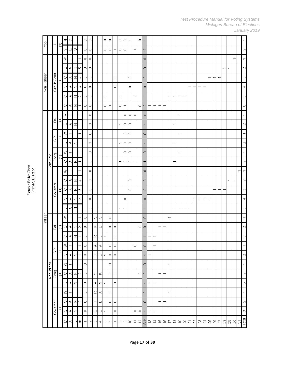| Prop         |            | $\prec$                  | Ξ | z                   | $\circ$   |                          |                | $\circ$        | $\circ$ |           |                          | $\circ$                  | $\circ$        |                | $\circ$        | $\circ$                  | $\overline{ }$ |                          | $\circ$ -      |                          |                          |                |                                       |                                  |                |                          |                |        |                          |                          |                          |                          |                |                |                |        |    |                |               |                    |
|--------------|------------|--------------------------|---|---------------------|-----------|--------------------------|----------------|----------------|---------|-----------|--------------------------|--------------------------|----------------|----------------|----------------|--------------------------|----------------|--------------------------|----------------|--------------------------|--------------------------|----------------|---------------------------------------|----------------------------------|----------------|--------------------------|----------------|--------|--------------------------|--------------------------|--------------------------|--------------------------|----------------|----------------|----------------|--------|----|----------------|---------------|--------------------|
|              |            |                          |   | ≻                   | ш         | $\omega$                 |                | $\circ$        | $\circ$ |           |                          | $\circ$                  | $\circ$        | $\overline{ }$ | $\circ$        | $\circ$                  |                | $\overline{\phantom{0}}$ |                | 2                        |                          |                |                                       |                                  |                |                          |                |        |                          |                          |                          |                          |                |                |                |        |    |                |               | $\scriptstyle\sim$ |
|              |            |                          |   | $\gtrsim$           |           |                          |                | $\circ$        | $\circ$ |           |                          |                          |                |                |                |                          |                |                          |                | $\circ$                  |                          |                |                                       |                                  |                |                          |                |        |                          |                          |                          |                          |                |                |                |        |    | $\overline{ }$ |               |                    |
|              |            |                          |   | Ō                   | A         | Z                        | LO.            | $\circ$        | $\circ$ |           |                          |                          |                |                |                |                          |                |                          |                | $\circ$                  |                          |                |                                       |                                  |                |                          |                |        |                          |                          |                          |                          |                |                |                | ↽      |    |                |               | $\scriptstyle\sim$ |
|              |            |                          |   | $\circlearrowright$ | $\prec$   | Z                        | 4              | $\circ$        | $\circ$ |           |                          |                          |                | $\circ$        |                |                          | $\circ$        |                          |                | $\circ$                  |                          |                |                                       |                                  |                |                          |                |        |                          |                          |                          |                          | $\overline{ }$ | $\overline{ }$ | $\overline{ }$ |        |    |                |               | 6                  |
| Non Partisan |            | Circuit Court            |   | $\circlearrowright$ | $\prec$   | Z                        | $\infty$       | $\circ$        | $\circ$ |           |                          |                          |                | $\circ$        |                |                          | $\circ$        |                          |                | $\circ$                  |                          |                |                                       |                                  |                |                          |                |        | $\overline{\phantom{0}}$ | $\overline{\phantom{0}}$ | $\overline{\phantom{0}}$ | $\overline{\phantom{0}}$ |                |                |                |        |    |                |               | 4                  |
|              |            |                          |   | O                   | ⋖         | Z                        | $\sim$         | $\circ$        | $\circ$ |           |                          | $\circ$                  |                |                | $\circ$        |                          |                | ↽                        |                | $\overline{ }$           |                          |                |                                       |                                  | ↽              | $\overline{ }$           | $\overline{ }$ | ᡪ      |                          |                          |                          |                          |                |                |                |        |    |                |               | 40                 |
|              |            |                          |   | O                   | A         | Z                        | $\overline{ }$ | $\circ$        | $\circ$ |           |                          | $\circ$                  | $\overline{ }$ |                | $\circ$        | $\overline{\phantom{0}}$ |                |                          |                | $\circ$ $\sim$           | $\leftarrow$             | $\overline{ }$ | $\overline{ }$                        | $\overline{\phantom{0}}$         |                |                          |                |        |                          |                          |                          |                          |                |                |                |        |    |                |               | $^{\circ}$         |
|              |            |                          |   | $\bowtie$           |           |                          | T              |                | $\circ$ |           |                          |                          |                |                |                | $\circ$                  | $\circ$        | $\circ$                  |                | $\circ$                  |                          |                |                                       |                                  |                |                          | $\overline{}$  |        |                          |                          |                          |                          |                |                |                |        |    |                |               |                    |
|              |            | $\overline{\mathcal{C}}$ | ε | $\circ$             | ⋖         | Z                        |                |                | $\circ$ |           |                          |                          |                |                | $\overline{}$  | $\circ$                  | $\circ$        |                          |                | $\overline{ }$           |                          |                |                                       |                                  |                | Γ                        |                |        |                          |                          |                          |                          |                |                |                |        |    |                |               | $\scriptstyle\sim$ |
|              |            |                          |   | $\gtrsim$           |           |                          | ↽              |                | $\circ$ |           |                          |                          |                |                |                | $\circ$                  | $\circ$        |                          |                | $\circ$                  |                          |                |                                       |                                  |                |                          | $\overline{ }$ |        |                          |                          |                          |                          |                |                |                |        |    |                |               |                    |
|              |            | S.R.                     | Ξ | $\circ$             | ⋖         | Z                        | $\overline{ }$ |                | $\circ$ |           |                          |                          |                |                | $\overline{}$  | $\circ$                  | $\circ$        |                          |                | $\overline{\phantom{0}}$ |                          |                |                                       |                                  |                | $\overline{}$            |                |        |                          |                          |                          |                          |                |                |                |        |    |                |               |                    |
|              |            |                          |   | $\gtrsim$           |           |                          | ↽              |                | $\circ$ |           |                          |                          |                |                |                | $\circ$                  | $\circ$        |                          |                | $\circ$                  |                          |                |                                       |                                  |                |                          | $\overline{ }$ |        |                          |                          |                          |                          |                |                |                |        |    |                |               |                    |
|              | Democrat   | Cong.                    | Ξ | $\circlearrowright$ | $\prec$   | Z                        | $\overline{ }$ |                | $\circ$ |           |                          |                          |                |                | $\overline{ }$ | $\circ$                  | $\circ$        | $\circ$                  |                | $\overline{ }$           |                          |                |                                       |                                  |                | ᡪ                        |                |        |                          |                          |                          |                          |                |                |                |        |    |                |               |                    |
|              |            |                          |   | $\gtrsim$           |           |                          | $\overline{ }$ |                | $\circ$ |           |                          |                          |                |                |                |                          |                |                          |                | $\circ$                  |                          |                |                                       |                                  |                |                          |                |        |                          |                          |                          |                          |                |                |                |        |    |                | Τ             |                    |
|              |            |                          |   | O                   | A         | Z                        | 4              |                | $\circ$ |           |                          |                          |                |                |                |                          | $\circ$        |                          |                | $\circ$                  |                          |                |                                       |                                  |                |                          |                |        |                          |                          |                          |                          |                |                |                |        | T  | Ψ              |               | 2                  |
|              |            | Governor                 |   | $\bigcirc$          | A         | Z                        | $\infty$       |                | $\circ$ |           |                          |                          |                |                |                |                          | $\circ$        |                          |                | $\circ$                  |                          |                |                                       |                                  |                |                          |                |        |                          |                          |                          |                          |                | $\overline{ }$ | ٣              | Τ      |    |                |               | 3                  |
|              |            |                          |   | Ō                   | ⋖         | Z                        | $\sim$         |                | $\circ$ |           |                          |                          |                |                |                | $\circ$                  |                |                          |                | $\circ$                  |                          |                |                                       |                                  |                |                          |                |        |                          | $\overline{ }$           | $\overline{ }$           | $\overline{ }$           | $\overline{ }$ |                |                |        |    |                |               | 4                  |
|              |            |                          |   | O                   | A,        | Z                        | ۳              |                | $\circ$ |           | $\vdash$                 |                          |                |                | $\overline{}$  | $\circ$                  |                |                          |                | $\overline{ }$           |                          |                |                                       |                                  |                | T                        | $\overline{ }$ | L      | $\overline{ }$           |                          |                          |                          |                |                |                |        |    |                |               | 40                 |
| Partisan     |            |                          |   | $\gtrsim$           |           |                          | τ              | $\circ$        |         | $\omega$  | $\circ$                  |                          | $\circ$        |                |                |                          |                |                          |                | $\circ$                  |                          |                |                                       |                                  | $\overline{ }$ |                          |                |        |                          |                          |                          |                          |                |                |                |        |    |                |               |                    |
|              |            | Dei.                     | Ξ | $\circlearrowright$ | ⋖         | z                        | $\sim$         | $\circ$        |         | ×         | ┙                        |                          | $\circ$        | $\circ$        |                |                          |                |                          |                | $\circ$ $\circ$          |                          |                | $\overline{\phantom{0}}$              | $\overline{\phantom{0}}$         |                |                          |                |        |                          |                          |                          |                          |                |                |                |        |    |                |               | ⌒                  |
|              |            |                          |   | $\circ$             | ⋖         | z                        | ᡪ              | $\circ$        |         | œ         | $\overline{\phantom{0}}$ | $\overline{ }$           |                | $\circ$        |                |                          |                |                          |                | $\overline{}$            | $\overline{ }$           | $\overline{ }$ |                                       |                                  |                |                          |                |        |                          |                          |                          |                          |                |                |                |        |    |                |               | 6                  |
|              |            | SR.                      | E | $\geq$              |           |                          | Τ              | $\circ$        |         | $\prec$   | $\prec$                  |                          | $\circ$        | $\circ$        |                |                          |                | $\circ$                  |                | $\circ$                  |                          | $\overline{ }$ |                                       |                                  |                |                          |                |        |                          |                          |                          |                          |                |                |                |        |    |                |               | Π                  |
|              |            |                          |   | $\circlearrowright$ | ⋖         | Z                        |                | $\circ$        |         | Σ         | $\boldsymbol{\omega}$    | $\overline{ }$           | $\circ$        | $\circ$        |                |                          |                |                          |                | $\overline{\phantom{0}}$ | $\overline{ }$           |                |                                       |                                  |                |                          |                |        |                          |                          |                          |                          |                |                |                |        |    |                |               | $\sim$             |
|              |            |                          |   | $\gtrsim$           |           |                          | ۳              | $\circ$        |         |           |                          |                          | $\circ$        |                |                |                          |                |                          |                | $\circ$                  |                          |                |                                       |                                  | $\overline{ }$ |                          |                |        |                          |                          |                          |                          |                |                |                |        |    |                |               | $\overline{ }$     |
|              | Republican | Cong.                    | ε | $\circlearrowright$ | $\prec$   | $\mathbb Z$              | $\sim$         | $\circ$        |         | $\succ$   | $\boldsymbol{\times}$    |                          | $\circ$        | $\circ$        |                |                          |                |                          |                | $\circ$ $\circ$          |                          |                | $\overline{\phantom{0}}$              | $\overline{\phantom{0}}$         |                |                          |                |        |                          |                          |                          |                          |                |                |                |        |    |                |               | $\sim$             |
|              |            |                          |   | $\circlearrowright$ | A         | z                        | τ              | $\circ$        |         | ¢         | Z                        | $\overline{\phantom{0}}$ |                | $\circ$        |                |                          |                |                          |                | $\overline{\phantom{0}}$ | $\overline{ }$           | $\overline{ }$ |                                       |                                  |                |                          |                |        |                          |                          |                          |                          |                |                |                |        |    |                |               | $\infty$           |
|              |            |                          |   | $\gtrsim$           |           |                          | Π              | $\circ$        |         | $\propto$ | A,                       |                          | $\circ$        |                |                |                          |                |                          |                | $\circ$                  |                          |                |                                       |                                  | $\overline{ }$ |                          |                |        |                          |                          |                          |                          |                |                |                |        |    |                |               | $\overline{ }$     |
|              |            |                          |   | $\circlearrowright$ | $\preceq$ | $\overline{z}$           | $\sim$         | $\circ$        |         | $\vdash$  | $\overline{\phantom{0}}$ |                          | $\circ$        | $\circ$        |                |                          |                |                          |                | $\circ$                  |                          |                | $\overline{}$                         | $\overline{ }$                   |                |                          |                |        |                          |                          |                          |                          |                |                |                |        |    |                |               | $\sim$             |
|              |            | Governor                 | ε | $\circlearrowright$ | $\prec$   | Z                        | 7              | $\circ$        |         | $\omega$  | $\,$ m                   | $\overline{ }$           |                | $\circ$        |                |                          |                | $\circ$                  | $\circ$        | $\overline{\phantom{0}}$ | $\overline{ }$           | $\overline{ }$ |                                       |                                  |                |                          |                |        |                          |                          |                          |                          |                |                |                |        |    |                |               | $\infty$           |
|              |            |                          |   | $\infty$            | $\prec$   | $\overline{\phantom{0}}$ | $\ddot{}$      | $\overline{ }$ | $\sim$  | $\infty$  | 4                        | LO.                      | $\circ$        | $\overline{ }$ | $\infty$       | $\infty$                 | $\approx$      | $\overline{1}$           | $\overline{c}$ | Sub                      | $\widetilde{\mathbb{C}}$ | $\overline{4}$ | $\stackrel{\textstyle\mathsf{LO}}{=}$ | $\overset{\text{\tiny{(C)}}}{-}$ | 17             | $\stackrel{\circ}{\sim}$ | $\frac{8}{10}$ | $20\,$ | $\geq$ 1                 | $22\,$                   | $23\,$                   | 24                       | $25\,$         | $26\,$         | 27             | $28\,$ | 29 | $\mathbb{S}^0$ | $\frac{1}{3}$ | Total              |

# Sample Ballot Chart<br>Primary Election

#### *Test Procedure Manual for Voting Systems Michigan Bureau of Elections January 2019*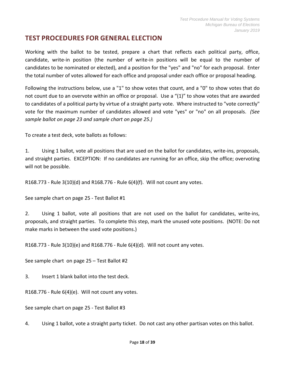## <span id="page-17-0"></span>**TEST PROCEDURES FOR GENERAL ELECTION**

Working with the ballot to be tested, prepare a chart that reflects each political party, office, candidate, write-in position (the number of write-in positions will be equal to the number of candidates to be nominated or elected), and a position for the "yes" and "no" for each proposal. Enter the total number of votes allowed for each office and proposal under each office or proposal heading.

Following the instructions below, use a "1" to show votes that count, and a "0" to show votes that do not count due to an overvote within an office or proposal. Use a "(1)" to show votes that are awarded to candidates of a political party by virtue of a straight party vote. Where instructed to "vote correctly" vote for the maximum number of candidates allowed and vote "yes" or "no" on all proposals. *(See sample ballot on page 23 and sample chart on page 25.)*

To create a test deck, vote ballots as follows:

1. Using 1 ballot, vote all positions that are used on the ballot for candidates, write-ins, proposals, and straight parties. EXCEPTION: If no candidates are running for an office, skip the office; overvoting will not be possible.

R168.773 - Rule  $3(10)(d)$  and R168.776 - Rule  $6(4)(f)$ . Will not count any votes.

See sample chart on page 25 - Test Ballot #1

2. Using 1 ballot, vote all positions that are not used on the ballot for candidates, write-ins, proposals, and straight parties. To complete this step, mark the unused vote positions. (NOTE: Do not make marks in between the used vote positions.)

R168.773 - Rule  $3(10)(e)$  and R168.776 - Rule  $6(4)(d)$ . Will not count any votes.

See sample chart on page 25 – Test Ballot #2

3. Insert 1 blank ballot into the test deck.

R168.776 - Rule 6(4)(e). Will not count any votes.

See sample chart on page 25 - Test Ballot #3

4. Using 1 ballot, vote a straight party ticket. Do not cast any other partisan votes on this ballot.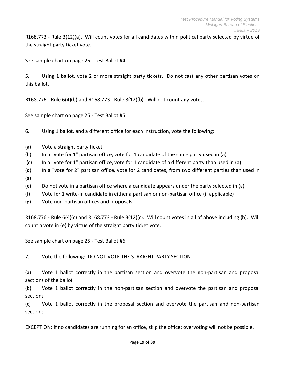R168.773 - Rule 3(12)(a). Will count votes for all candidates within political party selected by virtue of the straight party ticket vote.

See sample chart on page 25 - Test Ballot #4

5. Using 1 ballot, vote 2 or more straight party tickets. Do not cast any other partisan votes on this ballot.

R168.776 - Rule 6(4)(b) and R168.773 - Rule 3(12)(b). Will not count any votes.

See sample chart on page 25 - Test Ballot #5

6. Using 1 ballot, and a different office for each instruction, vote the following:

- (a) Vote a straight party ticket
- (b) In a "vote for 1" partisan office, vote for 1 candidate of the same party used in (a)
- (c) In a "vote for 1" partisan office, vote for 1 candidate of a different party than used in (a)
- (d) In a "vote for 2" partisan office, vote for 2 candidates, from two different parties than used in
- (a)
- (e) Do not vote in a partisan office where a candidate appears under the party selected in (a)
- (f) Vote for 1 write-in candidate in either a partisan or non-partisan office (if applicable)
- (g) Vote non-partisan offices and proposals

R168.776 - Rule 6(4)(c) and R168.773 - Rule 3(12)(c). Will count votes in all of above including (b). Will count a vote in (e) by virtue of the straight party ticket vote.

See sample chart on page 25 - Test Ballot #6

7. Vote the following: DO NOT VOTE THE STRAIGHT PARTY SECTION

(a) Vote 1 ballot correctly in the partisan section and overvote the non-partisan and proposal sections of the ballot

(b) Vote 1 ballot correctly in the non-partisan section and overvote the partisan and proposal sections

(c) Vote 1 ballot correctly in the proposal section and overvote the partisan and non-partisan sections

EXCEPTION: If no candidates are running for an office, skip the office; overvoting will not be possible.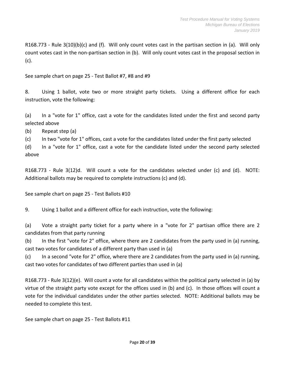R168.773 - Rule 3(10)(b)(c) and (f). Will only count votes cast in the partisan section in (a). Will only count votes cast in the non-partisan section in (b). Will only count votes cast in the proposal section in (c).

See sample chart on page 25 - Test Ballot #7, #8 and #9

8. Using 1 ballot, vote two or more straight party tickets. Using a different office for each instruction, vote the following:

(a) In a "vote for 1" office, cast a vote for the candidates listed under the first and second party selected above

(b) Repeat step (a)

(c) In two "vote for 1" offices, cast a vote for the candidates listed under the first party selected

(d) In a "vote for 1" office, cast a vote for the candidate listed under the second party selected above

R168.773 - Rule 3(12)d. Will count a vote for the candidates selected under (c) and (d). NOTE: Additional ballots may be required to complete instructions (c) and (d).

See sample chart on page 25 - Test Ballots #10

9. Using 1 ballot and a different office for each instruction, vote the following:

(a) Vote a straight party ticket for a party where in a "vote for 2" partisan office there are 2 candidates from that party running

(b) In the first "vote for 2" office, where there are 2 candidates from the party used in (a) running, cast two votes for candidates of a different party than used in (a)

(c) In a second "vote for 2" office, where there are 2 candidates from the party used in (a) running, cast two votes for candidates of two different parties than used in (a)

R168.773 - Rule 3(12)(e). Will count a vote for all candidates within the political party selected in (a) by virtue of the straight party vote except for the offices used in (b) and (c). In those offices will count a vote for the individual candidates under the other parties selected. NOTE: Additional ballots may be needed to complete this test.

See sample chart on page 25 - Test Ballots #11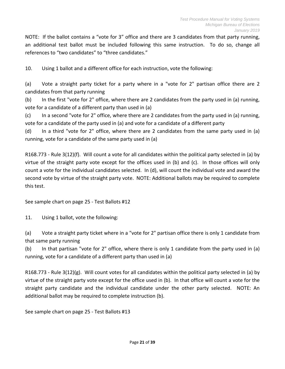NOTE: If the ballot contains a "vote for 3" office and there are 3 candidates from that party running, an additional test ballot must be included following this same instruction. To do so, change all references to "two candidates" to "three candidates."

10. Using 1 ballot and a different office for each instruction, vote the following:

(a) Vote a straight party ticket for a party where in a "vote for 2" partisan office there are 2 candidates from that party running

(b) In the first "vote for 2" office, where there are 2 candidates from the party used in (a) running, vote for a candidate of a different party than used in (a)

(c) In a second "vote for 2" office, where there are 2 candidates from the party used in (a) running, vote for a candidate of the party used in (a) and vote for a candidate of a different party

(d) In a third "vote for 2" office, where there are 2 candidates from the same party used in (a) running, vote for a candidate of the same party used in (a)

R168.773 - Rule 3(12)(f). Will count a vote for all candidates within the political party selected in (a) by virtue of the straight party vote except for the offices used in (b) and (c). In those offices will only count a vote for the individual candidates selected. In (d), will count the individual vote and award the second vote by virtue of the straight party vote. NOTE: Additional ballots may be required to complete this test.

See sample chart on page 25 - Test Ballots #12

11. Using 1 ballot, vote the following:

(a) Vote a straight party ticket where in a "vote for 2" partisan office there is only 1 candidate from that same party running

(b) In that partisan "vote for 2" office, where there is only 1 candidate from the party used in (a) running, vote for a candidate of a different party than used in (a)

R168.773 - Rule 3(12)(g). Will count votes for all candidates within the political party selected in (a) by virtue of the straight party vote except for the office used in (b). In that office will count a vote for the straight party candidate and the individual candidate under the other party selected. NOTE: An additional ballot may be required to complete instruction (b).

See sample chart on page 25 - Test Ballots #13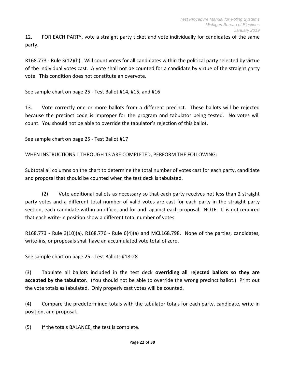12. FOR EACH PARTY, vote a straight party ticket and vote individually for candidates of the same party.

R168.773 - Rule 3(12)(h). Will count votes for all candidates within the political party selected by virtue of the individual votes cast. A vote shall not be counted for a candidate by virtue of the straight party vote. This condition does not constitute an overvote.

See sample chart on page 25 - Test Ballot #14, #15, and #16

13. Vote correctly one or more ballots from a different precinct. These ballots will be rejected because the precinct code is improper for the program and tabulator being tested. No votes will count. You should not be able to override the tabulator's rejection of this ballot.

See sample chart on page 25 - Test Ballot #17

WHEN INSTRUCTIONS 1 THROUGH 13 ARE COMPLETED, PERFORM THE FOLLOWING:

Subtotal all columns on the chart to determine the total number of votes cast for each party, candidate and proposal that should be counted when the test deck is tabulated.

(2) Vote additional ballots as necessary so that each party receives not less than 2 straight party votes and a different total number of valid votes are cast for each party in the straight party section, each candidate within an office, and for and against each proposal. NOTE: It is not required that each write-in position show a different total number of votes.

R168.773 - Rule 3(10)(a), R168.776 - Rule 6(4)(a) and MCL168.798. None of the parties, candidates, write-ins, or proposals shall have an accumulated vote total of zero.

See sample chart on page 25 - Test Ballots #18-28

(3) Tabulate all ballots included in the test deck **overriding all rejected ballots so they are accepted by the tabulator.** (You should not be able to override the wrong precinct ballot.) Print out the vote totals as tabulated. Only properly cast votes will be counted.

(4) Compare the predetermined totals with the tabulator totals for each party, candidate, write-in position, and proposal.

(5) If the totals BALANCE, the test is complete.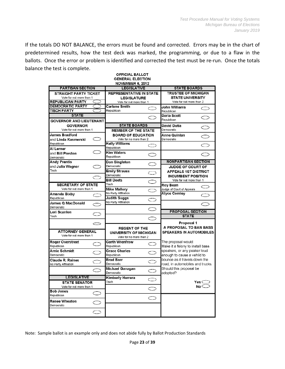If the totals DO NOT BALANCE, the errors must be found and corrected. Errors may be in the chart of predetermined results, how the test deck was marked, the programming, or due to a flaw in the ballots. Once the error or problem is identified and corrected the test must be re-run. Once the totals balance the test is complete.

|                                                 |                     | <b>OFFICIAL BALLOT</b><br><b>GENERAL ELECTION</b><br>NOVEMBER 6, 2012 |                     |                                                                   |                     |
|-------------------------------------------------|---------------------|-----------------------------------------------------------------------|---------------------|-------------------------------------------------------------------|---------------------|
| <b>PARTISAN SECTION</b>                         |                     | <b>LEGISLATIVE</b>                                                    |                     | <b>STATE BOARDS</b>                                               |                     |
| <b>STRAIGHT PARTY TICKET</b>                    |                     | <b>REPRESENTATIVE IN STATE</b>                                        |                     | TRUSTEE OF MICHIGAN                                               |                     |
| Vote for not more than 1                        |                     | <b>LEGISLATURE</b>                                                    |                     | <b>STATE UNIVERSITY</b>                                           |                     |
| <b>REPUBLICAN PARTY</b>                         |                     | Vote for not more than 1                                              |                     | Vote for not more than 2                                          |                     |
| <b>DEMOCRATIC PARTY</b>                         |                     | <b>Carlene Smith</b>                                                  | ◯                   | John Williams                                                     | ⊂⊃                  |
| <b>TISCH PARTY</b>                              |                     | Republican                                                            |                     | Republican                                                        |                     |
| <b>STATE</b><br><b>GOVERNOR AND LIEUTENANT</b>  |                     |                                                                       |                     | Darla Scott<br>Republican                                         |                     |
| <b>GOVERNOR</b>                                 |                     | <b>STATE BOARDS</b>                                                   |                     | David Dutia                                                       |                     |
| Vote for not more than 1                        |                     | <b>MEMBER OF THE STATE</b>                                            |                     | Democratic                                                        |                     |
| <b>James Bradford</b>                           |                     | <b>BOARD OF EDUCATION</b>                                             |                     | Anne Quinlan                                                      |                     |
| and Linda Kasmerski                             |                     | Vote for no more than 2                                               |                     | Democratic                                                        | $\circlearrowright$ |
| Republican                                      |                     | <b>Kelly Williams</b>                                                 |                     |                                                                   |                     |
|                                                 |                     | Republican                                                            | O                   |                                                                   | $\subset$           |
| Al Lerner                                       |                     | <b>Kim Waters</b>                                                     |                     |                                                                   |                     |
| and <b>Bill Preston</b>                         |                     | Republican                                                            | C                   |                                                                   |                     |
| Democratic                                      |                     |                                                                       |                     | <b>NONPARTISAN SECTION</b>                                        |                     |
| <b>Andy Prentis</b>                             |                     | Don Singleton                                                         | ⊂⊃                  |                                                                   |                     |
| and Julia Wagner                                |                     | Democratic                                                            |                     | <b>JUDGE OF COURT OF</b>                                          |                     |
| Tisch                                           |                     | <b>Emily Strauss</b>                                                  | $\bigcirc$          | <b>APPEALS 1ST DISTRICT</b>                                       |                     |
|                                                 | $\subset$           | Democratic                                                            |                     | <b>INCUMBENT POSITION</b>                                         |                     |
|                                                 |                     | <b>Bill Deets</b>                                                     | $\subset$           | Vote for not more than 1                                          |                     |
| <b>SECRETARY OF STATE</b>                       |                     | Tisch                                                                 |                     | Roy Bean                                                          |                     |
| Vote for not more than 1                        |                     | <b>Mike Mallory</b>                                                   |                     | Judge of Court of Appeals                                         |                     |
| Amanda Bixby                                    | $\circlearrowright$ | No Party Affiliation                                                  |                     | <b>Alyce Comley</b>                                               | $\bigcirc$          |
| Republican                                      |                     | <b>Judith Suggs</b>                                                   | $\subset \,$        |                                                                   |                     |
| <b>James Q MacDonald</b>                        |                     | No Party Affiliation                                                  |                     |                                                                   |                     |
| Democratic                                      |                     |                                                                       | Œ                   |                                                                   |                     |
| Lori Scanlon                                    |                     |                                                                       |                     | <b>PROPOSAL SECTION</b>                                           |                     |
| Tisch                                           |                     |                                                                       | ⌒                   | <b>STATE</b>                                                      |                     |
|                                                 |                     |                                                                       |                     |                                                                   |                     |
|                                                 |                     |                                                                       |                     | Proposal 1                                                        |                     |
| <b>ATTORNEY GENERAL</b>                         |                     | <b>REGENT OF THE</b>                                                  |                     | A PROPOSAL TO BAN BASS                                            |                     |
| Vote for not more than 1                        |                     | UNIVERSITY OF MICHIGAN                                                |                     | <b>SPEAKERS IN AUTOMOBILES</b>                                    |                     |
|                                                 |                     | Vote for no more than 2                                               |                     |                                                                   |                     |
| <b>Roger Overstreet</b>                         | $\bigcirc$          | <b>Garth Wrenfrow</b>                                                 | $\subset$           | The proposal would:                                               |                     |
| Republican                                      |                     | Republican                                                            |                     | Make it a felony to install bass                                  |                     |
| Arnie Schmidt                                   | Ć                   | <b>Grace Charles</b>                                                  | $\subset$           | speakers, or any peaker loud                                      |                     |
| Democratic                                      |                     | Republican                                                            |                     | enough to cause a vehild to                                       |                     |
| <b>Claude R. Raines</b><br>No Party Affiliation |                     | <b>Brad Barr</b><br>Democratic                                        |                     | bounce as it travels down the<br>road, in automobiles and trucks. |                     |
|                                                 |                     |                                                                       |                     |                                                                   |                     |
|                                                 |                     | Michael Gavagan<br>Democratic                                         | O                   | Should this proposal be<br>adopted?                               |                     |
| <b>LEGISLATIVE</b>                              |                     | <b>Kimberly Herrera</b>                                               | $\circlearrowright$ |                                                                   |                     |
| <b>STATE SENATOR</b>                            |                     | Tisch                                                                 |                     |                                                                   | Yes $\subset$       |
| Vote for not more than 1                        |                     |                                                                       |                     |                                                                   | No $\subset$        |
| <b>Bob Jones</b>                                |                     |                                                                       |                     |                                                                   |                     |
| Republican                                      | ⊂                   |                                                                       |                     |                                                                   |                     |
| <b>Renee Wheaton</b>                            |                     |                                                                       |                     |                                                                   |                     |
| Democratic                                      |                     |                                                                       |                     |                                                                   |                     |
|                                                 |                     |                                                                       |                     |                                                                   |                     |
|                                                 |                     |                                                                       |                     |                                                                   |                     |

Note: Sample ballot is an example only and does not abide fully by Ballot Production Standards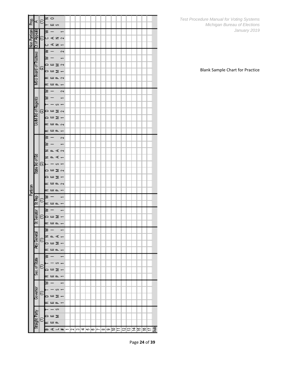|              |                                                                                                                                                    |         | ∘ ≠                    |    |                          |                          |  |  |  |  |  |  |  |  |  |
|--------------|----------------------------------------------------------------------------------------------------------------------------------------------------|---------|------------------------|----|--------------------------|--------------------------|--|--|--|--|--|--|--|--|--|
| Prop.        | <r∣< th=""><th>€</th><th></th><th>யெ</th><th></th><th></th><th></th><th></th><th></th><th></th><th></th><th></th><th></th><th></th><th></th></r∣<> | €       |                        | யெ |                          |                          |  |  |  |  |  |  |  |  |  |
|              |                                                                                                                                                    |         |                        |    |                          | $\overline{\phantom{0}}$ |  |  |  |  |  |  |  |  |  |
|              |                                                                                                                                                    |         | ひぜえみ                   |    |                          |                          |  |  |  |  |  |  |  |  |  |
| Non Partisan | Ct of Appeals                                                                                                                                      |         |                        |    | ۰ ⊴ت∢ د                  |                          |  |  |  |  |  |  |  |  |  |
|              |                                                                                                                                                    |         | M                      |    |                          |                          |  |  |  |  |  |  |  |  |  |
|              |                                                                                                                                                    |         |                        |    |                          | $\sim$                   |  |  |  |  |  |  |  |  |  |
|              |                                                                                                                                                    |         | Þ                      |    |                          |                          |  |  |  |  |  |  |  |  |  |
|              |                                                                                                                                                    | $\circ$ | ∣⊡យ∑∾                  |    |                          |                          |  |  |  |  |  |  |  |  |  |
|              | MSU Board of Trustees                                                                                                                              |         | oш∑—                   |    |                          |                          |  |  |  |  |  |  |  |  |  |
|              |                                                                                                                                                    |         | ᅂᄪᄘᇯ                   |    |                          |                          |  |  |  |  |  |  |  |  |  |
|              |                                                                                                                                                    |         | ᅂᄖᄘ                    |    |                          |                          |  |  |  |  |  |  |  |  |  |
|              |                                                                                                                                                    |         | ≋                      |    |                          | Ğ,                       |  |  |  |  |  |  |  |  |  |
|              |                                                                                                                                                    |         | ≋                      |    |                          |                          |  |  |  |  |  |  |  |  |  |
|              |                                                                                                                                                    |         |                        |    | $\infty$ $-$             |                          |  |  |  |  |  |  |  |  |  |
|              |                                                                                                                                                    | ຣ       | □ШΣ∾                   |    |                          |                          |  |  |  |  |  |  |  |  |  |
|              | <b>Uofol Bd of Regents</b>                                                                                                                         |         | ᆷᄈᅙ                    |    |                          |                          |  |  |  |  |  |  |  |  |  |
|              |                                                                                                                                                    |         | ᅂᄪᄘᇯ                   |    |                          |                          |  |  |  |  |  |  |  |  |  |
|              |                                                                                                                                                    |         | ᅂᄖᄘ                    |    |                          |                          |  |  |  |  |  |  |  |  |  |
|              |                                                                                                                                                    |         | ⊜ –                    |    | - 64                     |                          |  |  |  |  |  |  |  |  |  |
|              |                                                                                                                                                    |         |                        |    |                          |                          |  |  |  |  |  |  |  |  |  |
|              |                                                                                                                                                    |         | ≠ ⊏ ⊄ ∾                |    |                          |                          |  |  |  |  |  |  |  |  |  |
|              |                                                                                                                                                    |         | = = < +                |    |                          |                          |  |  |  |  |  |  |  |  |  |
|              |                                                                                                                                                    | ଷା      |                        |    | — ∽ –                    |                          |  |  |  |  |  |  |  |  |  |
|              | <u>PB 40 여행 8</u>                                                                                                                                  |         | ០២∑∾                   |    |                          |                          |  |  |  |  |  |  |  |  |  |
|              |                                                                                                                                                    |         | ០ሠ፮−                   |    |                          |                          |  |  |  |  |  |  |  |  |  |
|              |                                                                                                                                                    |         | ᅂᄪᄘᇯ                   |    |                          |                          |  |  |  |  |  |  |  |  |  |
| Partisan     |                                                                                                                                                    |         | ᅂᄪᄘ                    |    |                          |                          |  |  |  |  |  |  |  |  |  |
|              |                                                                                                                                                    |         | Ø                      |    |                          |                          |  |  |  |  |  |  |  |  |  |
|              | $\frac{1}{2}$ Rep                                                                                                                                  | €       | ᅂᄪᄘᅮ                   |    |                          |                          |  |  |  |  |  |  |  |  |  |
|              |                                                                                                                                                    |         | æ                      |    |                          |                          |  |  |  |  |  |  |  |  |  |
|              | St Senator                                                                                                                                         | €       | oш∑–                   |    |                          |                          |  |  |  |  |  |  |  |  |  |
|              |                                                                                                                                                    |         | ᅂᄖᅠᄘᅮ                  |    |                          |                          |  |  |  |  |  |  |  |  |  |
|              |                                                                                                                                                    |         | ≋ –                    |    | $\overline{\phantom{a}}$ |                          |  |  |  |  |  |  |  |  |  |
|              |                                                                                                                                                    |         | iz a ∢ —               |    |                          |                          |  |  |  |  |  |  |  |  |  |
|              | EBueg And                                                                                                                                          |         |                        |    |                          |                          |  |  |  |  |  |  |  |  |  |
|              |                                                                                                                                                    |         | oш∑–                   |    |                          |                          |  |  |  |  |  |  |  |  |  |
|              |                                                                                                                                                    |         | <b>œш</b> = -          |    |                          |                          |  |  |  |  |  |  |  |  |  |
|              |                                                                                                                                                    |         | l<br>≜                 |    |                          |                          |  |  |  |  |  |  |  |  |  |
|              |                                                                                                                                                    |         |                        |    | $-\circ$ $-$             |                          |  |  |  |  |  |  |  |  |  |
|              | Sec. of State                                                                                                                                      |         | ⊡ய∑—                   |    |                          |                          |  |  |  |  |  |  |  |  |  |
|              |                                                                                                                                                    |         | ᅂᇜᄘᅮ                   |    |                          |                          |  |  |  |  |  |  |  |  |  |
|              |                                                                                                                                                    |         | 渇                      |    |                          | $\overline{\phantom{0}}$ |  |  |  |  |  |  |  |  |  |
|              | Governor                                                                                                                                           |         |                        |    | - ∞ --                   |                          |  |  |  |  |  |  |  |  |  |
|              |                                                                                                                                                    |         | ⊸צעם                   |    |                          |                          |  |  |  |  |  |  |  |  |  |
|              |                                                                                                                                                    |         | ᅂᇜᄘᅮ                   |    |                          |                          |  |  |  |  |  |  |  |  |  |
|              |                                                                                                                                                    |         | $- - \circ$            |    |                          |                          |  |  |  |  |  |  |  |  |  |
|              | Straight Party                                                                                                                                     |         | ∣⊒ш⊃                   |    |                          |                          |  |  |  |  |  |  |  |  |  |
|              |                                                                                                                                                    |         | ᅂᄪᄘ                    |    |                          |                          |  |  |  |  |  |  |  |  |  |
|              |                                                                                                                                                    |         | 日AL#1234567890H23H607㎝ |    |                          |                          |  |  |  |  |  |  |  |  |  |

Blank Sample Chart for Practice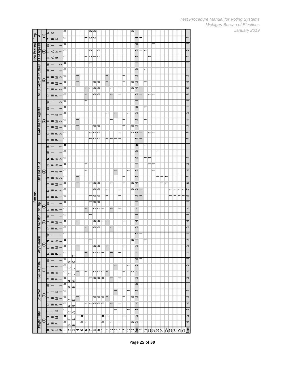|              |                           |   |     |                          |                          | ∘                        |         |      |   |     |   |                          | ਰਬਸ             |                                                        |    |                          |                          |   |   | ᇹ_                     |                          |                  |       |                          |   |  |   |                          |                          |                         |
|--------------|---------------------------|---|-----|--------------------------|--------------------------|--------------------------|---------|------|---|-----|---|--------------------------|-----------------|--------------------------------------------------------|----|--------------------------|--------------------------|---|---|------------------------|--------------------------|------------------|-------|--------------------------|---|--|---|--------------------------|--------------------------|-------------------------|
| 훈            | x.                        | Е | z o |                          |                          |                          |         |      |   |     |   |                          |                 |                                                        |    |                          |                          |   |   |                        |                          |                  |       |                          |   |  |   |                          |                          |                         |
|              |                           |   |     | - ய ഗ                    |                          | $\mathbf{\circ}$         |         |      |   |     |   | 00                       |                 |                                                        |    |                          |                          |   |   |                        | $\overline{\phantom{0}}$ |                  |       |                          |   |  |   |                          |                          |                         |
|              |                           |   |     |                          |                          | o                        |         |      |   |     |   |                          |                 |                                                        |    |                          |                          |   |   |                        | o                        |                  |       |                          |   |  |   |                          |                          |                         |
| Non Partisan | iAppeals                  |   | ŝ   |                          |                          |                          |         |      |   |     |   |                          |                 |                                                        |    |                          |                          |   |   |                        |                          |                  |       |                          |   |  |   |                          |                          |                         |
|              |                           |   |     | しばせい                     |                          | 0                        |         |      |   |     |   | 0                        |                 | 0                                                      |    |                          |                          |   |   |                        | 0                        |                  |       |                          |   |  |   |                          |                          | ç.                      |
|              |                           |   |     |                          |                          |                          |         |      |   |     |   |                          |                 |                                                        |    |                          |                          |   |   |                        |                          |                  |       |                          |   |  |   |                          |                          |                         |
|              | Ct of                     |   |     | o∢z÷                     |                          | 0                        |         |      |   |     |   | ⊸∣∼                      |                 | $\blacksquare$                                         |    |                          |                          |   |   |                        | CN.                      |                  |       | T                        |   |  |   |                          |                          | ∞                       |
|              |                           |   |     |                          |                          | 0                        |         |      |   |     |   |                          |                 |                                                        |    |                          |                          |   |   |                        | T                        |                  |       |                          |   |  |   |                          |                          |                         |
|              |                           |   | s   |                          | $\mathbf{\tilde{z}}$     |                          |         |      |   |     |   |                          |                 |                                                        |    |                          |                          |   |   |                        |                          |                  |       |                          |   |  |   |                          |                          |                         |
|              | MSU Board of Trustees     |   | s   |                          |                          | 0                        |         |      |   |     |   |                          |                 |                                                        |    |                          |                          |   |   |                        | 0                        |                  |       |                          |   |  |   |                          |                          |                         |
|              |                           |   |     |                          |                          |                          |         |      |   |     |   |                          |                 |                                                        |    |                          |                          |   |   |                        |                          |                  |       |                          |   |  |   |                          |                          |                         |
|              |                           |   |     | ០ሠ∑∾                     |                          | 0                        |         |      |   |     |   |                          |                 |                                                        |    |                          |                          |   |   |                        | ø                        |                  |       |                          |   |  |   |                          |                          | ∞                       |
|              |                           | ⊗ |     | ⊇שם                      |                          | ≘                        |         |      |   |     |   |                          | 90              |                                                        |    |                          |                          |   |   | െ                      |                          |                  |       |                          |   |  |   |                          |                          | 4                       |
|              |                           |   |     |                          |                          |                          |         |      |   |     |   |                          |                 |                                                        |    |                          |                          |   |   |                        |                          |                  |       |                          |   |  |   |                          |                          |                         |
|              |                           |   |     | ᅂᄖᄘᇯ                     |                          | 0                        |         |      |   |     |   | ⊢                        | 90              |                                                        |    |                          |                          |   |   | 0                      | 4 -                      |                  |       |                          |   |  |   |                          |                          | 40                      |
|              |                           |   |     |                          |                          | 0                        |         |      |   |     |   |                          | ⊝∣⇔             |                                                        |    |                          |                          |   |   |                        | ∾ –                      |                  |       | — I —                    |   |  |   |                          |                          | ∞                       |
|              |                           |   |     | ᅂᄖᄘᅮ                     |                          |                          |         |      |   |     |   |                          |                 |                                                        |    |                          |                          |   |   |                        |                          |                  |       |                          |   |  |   |                          |                          |                         |
|              |                           |   | s   | $\overline{\phantom{m}}$ | $\sim$                   | ⇨                        |         |      |   |     |   |                          |                 |                                                        |    |                          |                          |   |   |                        |                          |                  |       |                          |   |  |   |                          |                          |                         |
|              |                           |   |     |                          |                          |                          |         |      |   |     |   |                          |                 |                                                        |    |                          |                          |   |   |                        |                          |                  |       |                          |   |  |   |                          |                          |                         |
|              |                           |   |     |                          |                          | ▭                        |         |      |   |     |   |                          |                 |                                                        |    |                          |                          |   |   |                        | 0                        |                  |       |                          |   |  |   |                          |                          |                         |
|              |                           |   |     |                          |                          | 0                        |         |      |   |     |   |                          |                 |                                                        |    |                          | $\overline{\phantom{0}}$ |   | ÷ |                        | ∞                        |                  |       |                          |   |  |   |                          |                          | ∾                       |
|              |                           |   |     | ŏ,                       |                          |                          |         |      |   |     |   |                          |                 |                                                        |    |                          |                          |   |   |                        |                          |                  |       |                          |   |  |   |                          |                          |                         |
|              |                           |   |     | ତିု ⊔∑∾                  |                          | 0                        |         |      | ÷ |     |   |                          |                 |                                                        |    |                          |                          |   |   |                        | ∞                        |                  |       |                          |   |  |   |                          |                          | 4                       |
|              |                           |   |     |                          |                          |                          |         |      |   |     |   |                          | 99              |                                                        |    |                          |                          |   |   | o                      |                          |                  |       |                          |   |  |   |                          |                          | ç.                      |
|              | <b>UofM Bd of Regents</b> |   |     | ᆷ쁘호                      |                          | ≘                        |         |      |   |     |   |                          |                 |                                                        |    |                          |                          |   |   |                        |                          |                  |       |                          |   |  |   |                          |                          |                         |
|              |                           |   |     | ᅂᄪᄘᇯ                     |                          | ≘                        |         |      |   |     |   | $\overline{\phantom{0}}$ | 00              |                                                        |    |                          |                          |   |   | $\circ$ $\circ$ $\sim$ |                          |                  |       | $\overline{\phantom{0}}$ | ⊢ |  |   |                          |                          | 40                      |
|              |                           |   |     |                          |                          |                          |         |      |   |     |   |                          |                 |                                                        |    |                          |                          |   |   |                        |                          |                  |       |                          |   |  |   |                          |                          |                         |
|              |                           |   |     | ᅂᄖᄘᅮ                     |                          | 0                        |         |      |   |     |   | $\overline{\phantom{0}}$ | $\circ$ $\circ$ |                                                        |    | --                       |                          |   |   |                        | $\sim$ $-$               |                  |       |                          |   |  |   |                          |                          | ∞                       |
|              |                           |   |     |                          |                          | 0                        |         |      |   |     |   |                          |                 |                                                        |    |                          |                          |   |   |                        | $\overline{\phantom{0}}$ |                  |       |                          |   |  |   |                          |                          |                         |
|              |                           |   | s   |                          | $\sim$                   |                          |         |      |   |     |   |                          |                 |                                                        |    |                          |                          |   |   |                        |                          |                  |       |                          |   |  |   |                          |                          |                         |
|              |                           |   | s   |                          | -                        | ≘                        |         |      |   |     |   |                          |                 |                                                        |    |                          |                          |   |   |                        | 0                        |                  |       |                          |   |  |   |                          |                          |                         |
|              |                           |   |     |                          |                          |                          |         |      |   |     |   |                          |                 |                                                        |    |                          |                          |   |   |                        |                          |                  |       |                          |   |  |   |                          |                          |                         |
|              |                           |   |     | ≠⊏ৰনে                    |                          | ≘                        |         |      |   |     |   |                          |                 |                                                        |    |                          |                          |   |   |                        | 0                        |                  | — I — |                          |   |  |   |                          |                          | $\mathbf{\tilde{c}}$    |
|              |                           |   |     |                          |                          | 0                        |         |      |   |     |   |                          |                 |                                                        |    |                          |                          |   |   |                        |                          |                  |       | $\overline{\phantom{0}}$ | ÷ |  |   |                          |                          | 69                      |
|              |                           |   |     | z = < -                  |                          |                          |         |      |   |     |   |                          |                 |                                                        |    |                          |                          |   |   |                        |                          |                  |       |                          |   |  |   |                          |                          |                         |
|              | <u>gaue pd ot E</u> q     | ଛ |     | Ø.                       |                          | 0                        |         |      |   |     |   |                          |                 |                                                        |    |                          |                          |   |   |                        | ∞                        |                  |       |                          |   |  |   |                          |                          | 4                       |
|              |                           |   |     |                          |                          |                          |         |      |   |     |   |                          |                 |                                                        |    |                          |                          |   |   |                        | ×,                       |                  |       |                          |   |  | ÷ |                          |                          | ю                       |
|              |                           |   |     | ០២∑∾                     |                          | ≘                        |         |      |   |     |   |                          |                 |                                                        |    |                          |                          |   |   |                        |                          |                  |       |                          |   |  |   |                          |                          |                         |
|              |                           |   |     | □⊞∑−                     |                          | 0                        |         |      |   |     |   | $\overline{\phantom{0}}$ | 1010            |                                                        |    | ÷                        |                          |   |   | ᇰᅕ                     |                          |                  |       |                          |   |  | ↽ |                          |                          | ه                       |
|              |                           |   |     |                          |                          |                          |         |      |   |     |   |                          |                 |                                                        |    |                          |                          |   |   |                        |                          |                  |       |                          |   |  |   |                          |                          |                         |
|              |                           |   |     | ᅂᄖᄘᇯ                     |                          | 0                        |         |      |   |     |   |                          |                 | െ⊂                                                     |    |                          |                          |   |   | $\circ$ $\circ$ $\sim$ |                          |                  |       |                          |   |  |   | $\overline{\phantom{0}}$ | $\overline{\phantom{0}}$ | r                       |
| Partisan     |                           |   |     |                          |                          | 0                        |         |      |   |     |   |                          | 00              |                                                        |    |                          |                          |   |   |                        | $\sim$ $-$               |                  |       |                          |   |  |   |                          | $\overline{\phantom{0}}$ | ∞                       |
|              |                           |   |     | ᅂᄖᄘᅳ                     |                          |                          |         |      |   |     |   |                          |                 |                                                        |    |                          |                          |   |   |                        |                          |                  |       |                          |   |  |   |                          |                          |                         |
|              |                           |   | ≋   |                          |                          | 0                        |         |      |   |     |   |                          | oo              |                                                        |    |                          |                          |   |   |                        |                          |                  |       |                          |   |  |   |                          |                          |                         |
|              |                           | Е |     |                          |                          |                          |         |      |   |     |   |                          |                 |                                                        |    |                          |                          | - |   |                        |                          |                  |       |                          |   |  |   |                          |                          |                         |
|              | St Rep                    |   |     | ᅂᄖᄘ                      |                          | 0                        |         |      |   |     | ÷ |                          |                 | ⊝∣⇔⊫                                                   |    | $\overline{\phantom{0}}$ |                          |   |   |                        | 4                        |                  |       |                          |   |  |   |                          |                          | 4                       |
|              |                           |   |     |                          |                          | 0                        |         |      |   |     |   |                          |                 |                                                        |    |                          |                          |   |   |                        | $\overline{\phantom{0}}$ |                  |       |                          |   |  |   |                          |                          |                         |
|              | Senator                   |   | s   |                          |                          |                          |         |      |   |     |   |                          |                 |                                                        |    |                          |                          |   |   |                        |                          |                  |       |                          |   |  |   |                          |                          |                         |
|              |                           |   |     | ⊝⊨ய∑–                    |                          | ≘                        |         |      |   |     |   |                          |                 | 90F                                                    |    |                          |                          |   |   |                        | 4                        |                  |       |                          |   |  |   |                          |                          | 4                       |
|              |                           |   |     |                          |                          | ⇨                        |         |      |   |     |   |                          | ⊝∣⇔             |                                                        |    | ÷                        |                          |   |   |                        | ∞                        |                  |       |                          |   |  |   |                          |                          | ∞                       |
|              | は                         |   |     | ᅂᄖᄘᅮ                     |                          |                          |         |      |   |     |   |                          |                 |                                                        |    |                          |                          |   |   |                        |                          |                  |       |                          |   |  |   |                          |                          |                         |
|              |                           |   | ≩ − |                          | $\overline{\phantom{0}}$ | $\overline{\phantom{0}}$ |         |      |   |     |   |                          |                 |                                                        |    |                          |                          |   |   |                        | ā                        |                  |       |                          |   |  |   |                          |                          |                         |
|              |                           |   |     |                          |                          |                          |         |      |   |     |   |                          |                 |                                                        |    |                          |                          |   |   |                        |                          |                  |       |                          |   |  |   |                          |                          |                         |
|              | Atty Genera               |   | ᇋ   | E,                       |                          | 0                        |         |      |   |     |   | T                        |                 |                                                        |    |                          |                          |   |   | $\circ$ –              |                          |                  | ٠     |                          |   |  |   |                          |                          | N                       |
|              |                           | Ε |     |                          |                          |                          |         |      |   |     |   |                          |                 | 이어                                                     |    |                          |                          |   |   |                        | $\infty$                 |                  |       |                          |   |  |   |                          |                          | ø                       |
|              |                           |   |     | ∍ш∑                      |                          |                          |         |      |   |     |   |                          |                 |                                                        |    |                          |                          |   |   |                        |                          |                  |       |                          |   |  |   |                          |                          |                         |
|              |                           |   |     | ᅂᇜᄘ                      |                          | 0                        |         |      |   |     |   |                          |                 | 이어드                                                    |    | $\overline{\phantom{0}}$ |                          |   |   |                        | 4                        |                  |       |                          |   |  |   |                          |                          | 4                       |
|              |                           |   |     |                          |                          |                          |         |      |   |     |   |                          |                 |                                                        |    |                          |                          |   |   |                        | $\overline{a}$           |                  |       |                          |   |  |   |                          |                          |                         |
|              |                           |   |     |                          |                          |                          |         | ¶∞∣∘ |   |     |   |                          |                 |                                                        |    |                          |                          |   |   |                        |                          |                  |       |                          |   |  |   |                          |                          |                         |
|              |                           |   |     |                          |                          | 0                        |         |      |   |     |   |                          |                 |                                                        |    |                          | $\overline{\phantom{0}}$ |   |   |                        | $\sim$                   |                  |       |                          |   |  |   |                          |                          | ø                       |
|              |                           |   |     |                          |                          |                          | ≃       |      |   |     |   |                          |                 |                                                        |    |                          |                          |   |   |                        |                          |                  |       |                          |   |  |   |                          |                          |                         |
|              | Sec. of State             |   |     | ш∑-                      |                          |                          | ≃∣⊐     |      |   |     |   |                          |                 | $\circ$ $\circ$ $\circ$                                |    |                          |                          |   |   | ΦT                     |                          |                  |       |                          |   |  |   |                          |                          | 4                       |
|              |                           |   |     |                          |                          |                          |         |      |   |     |   |                          |                 | 님이야                                                    |    | $\overline{\phantom{0}}$ |                          |   |   |                        | s.                       |                  |       |                          |   |  |   |                          |                          | ø                       |
|              |                           |   |     | $H =$                    |                          |                          |         | ∢∢   |   |     |   |                          |                 |                                                        |    |                          |                          |   |   |                        |                          |                  |       |                          |   |  |   |                          |                          |                         |
|              |                           |   |     |                          |                          | 0                        |         |      |   |     |   |                          |                 |                                                        |    |                          |                          |   |   |                        | ā                        |                  |       |                          |   |  |   |                          |                          |                         |
|              |                           |   |     |                          |                          |                          |         | ⊠ മ  |   |     |   |                          |                 |                                                        |    |                          |                          |   |   |                        |                          |                  |       |                          |   |  |   |                          |                          | $\overline{\mathbf{c}}$ |
|              |                           |   |     | ŏ,                       |                          | 0                        |         |      |   |     |   |                          |                 |                                                        |    |                          | $\overline{\phantom{0}}$ |   |   |                        | $\sim$                   |                  |       |                          |   |  |   |                          |                          |                         |
|              | Governor                  | Е |     | ∍ש∈                      |                          | °                        |         |      |   |     |   |                          |                 | $\circ$ $\circ$ $\circ$ $\sim$                         |    |                          |                          |   |   | o o                    |                          |                  |       |                          |   |  |   |                          |                          | 6                       |
|              |                           |   |     |                          |                          |                          | ≻∣⊻     |      |   |     |   |                          |                 |                                                        |    |                          |                          |   |   |                        |                          |                  |       |                          |   |  |   |                          |                          |                         |
|              |                           |   |     | ᅂᇜᇛ                      |                          | $\circ$                  |         |      |   |     |   |                          |                 | $\begin{array}{c} \circ \\ \circ \\ \circ \end{array}$ |    | $\overline{\phantom{0}}$ |                          |   |   |                        | 4                        |                  |       |                          |   |  |   |                          |                          | 4                       |
|              |                           |   |     |                          |                          | ≘∣                       | ≤ z     |      |   |     |   |                          |                 |                                                        |    |                          |                          |   |   |                        | 2                        |                  |       |                          |   |  |   |                          |                          | 2                       |
|              |                           |   |     | - 00                     |                          |                          | loc  ⊲( |      |   |     |   |                          |                 |                                                        |    |                          |                          |   |   |                        |                          |                  |       |                          |   |  |   |                          |                          |                         |
|              |                           |   |     | ∑שכ                      |                          | 0                        |         |      |   | -10 |   |                          |                 |                                                        | ⊵⊨ |                          |                          |   |   |                        | $\infty$                 |                  |       |                          |   |  |   |                          |                          | ∞                       |
|              | Straight Party            | Э |     |                          |                          |                          |         | ⊢⊥⊣  |   |     |   |                          |                 |                                                        |    |                          |                          |   |   |                        |                          |                  |       |                          |   |  |   |                          |                          |                         |
|              |                           |   |     | ᅂᄪᄘ                      |                          | 0                        |         | ഗ∣മ  |   | ≘⊫  |   |                          |                 |                                                        | Þ  | ÷                        |                          |   |   | $\circ$ $\circ$ $\sim$ |                          |                  |       |                          |   |  |   |                          |                          | 4                       |
|              |                           |   |     | ロムコキーシッチののとののおけ          |                          |                          |         |      |   |     |   |                          |                 |                                                        |    |                          |                          |   |   |                        |                          | apreppeenaaaaaaa |       |                          |   |  |   |                          |                          | ख                       |
|              |                           |   |     |                          |                          |                          |         |      |   |     |   |                          |                 |                                                        |    |                          |                          |   |   |                        |                          |                  |       |                          |   |  |   |                          |                          |                         |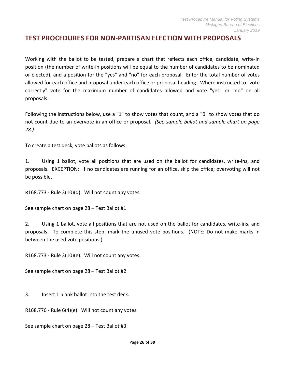#### <span id="page-25-0"></span>**TEST PROCEDURES FOR NON-PARTISAN ELECTION WITH PROPOSALS**

Working with the ballot to be tested, prepare a chart that reflects each office, candidate, write-in position (the number of write-in positions will be equal to the number of candidates to be nominated or elected), and a position for the "yes" and "no" for each proposal. Enter the total number of votes allowed for each office and proposal under each office or proposal heading. Where instructed to "vote correctly" vote for the maximum number of candidates allowed and vote "yes" or "no" on all proposals.

Following the instructions below, use a "1" to show votes that count, and a "0" to show votes that do not count due to an overvote in an office or proposal. *(See sample ballot and sample chart on page 28.)*

To create a test deck, vote ballots as follows:

1. Using 1 ballot, vote all positions that are used on the ballot for candidates, write-ins, and proposals. EXCEPTION: If no candidates are running for an office, skip the office; overvoting will not be possible.

R168.773 - Rule 3(10)(d). Will not count any votes.

See sample chart on page 28 – Test Ballot #1

2. Using 1 ballot, vote all positions that are not used on the ballot for candidates, write-ins, and proposals. To complete this step, mark the unused vote positions. (NOTE: Do not make marks in between the used vote positions.)

R168.773 - Rule 3(10)(e). Will not count any votes.

See sample chart on page 28 – Test Ballot #2

3. Insert 1 blank ballot into the test deck.

R168.776 - Rule 6(4)(e). Will not count any votes.

See sample chart on page 28 – Test Ballot #3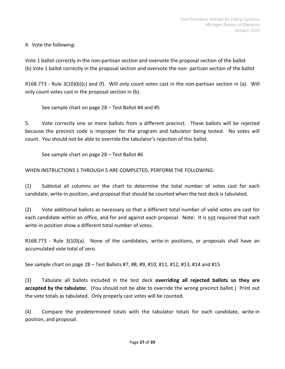4. Vote the following:

Vote 1 ballot correctly in the non-partisan section and overvote the proposal section of the ballot (b) Vote 1 ballot correctly in the proposal section and overvote the non- partisan section of the ballot

R168.773 - Rule 3(10)(b)(c) and (f). Will only count votes cast in the non-partisan section in (a). Will only count votes cast in the proposal section in (b).

See sample chart on page 28 – Test Ballot #4 and #5

5. Vote correctly one or more ballots from a different precinct. These ballots will be rejected because the precinct code is improper for the program and tabulator being tested. No votes will count. You should not be able to override the tabulator's rejection of this ballot.

See sample chart on page 28 – Test Ballot #6

WHEN INSTRUCTIONS 1 THROUGH 5 ARE COMPLETED, PERFORM THE FOLLOWING:

(1) Subtotal all columns on the chart to determine the total number of votes cast for each candidate, write-in position, and proposal that should be counted when the test deck is tabulated.

(2) Vote additional ballots as necessary so that a different total number of valid votes are cast for each candidate within an office, and for and against each proposal. Note: It is not required that each write-in position show a different total number of votes.

R168.773 - Rule 3(10)(a). None of the candidates, write-in positions, or proposals shall have an accumulated vote total of zero.

See sample chart on page 28 – Test Ballots #7, #8, #9, #10, #11, #12, #13, #14 and #15

(3) Tabulate all ballots included in the test deck **overriding all rejected ballots so they are accepted by the tabulator.** (You should not be able to override the wrong precinct ballot.) Print out the vote totals as tabulated. Only properly cast votes will be counted.

(4) Compare the predetermined totals with the tabulator totals for each candidate, write-in position, and proposal.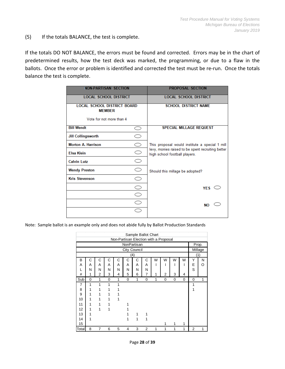#### (5) If the totals BALANCE, the test is complete.

If the totals DO NOT BALANCE, the errors must be found and corrected. Errors may be in the chart of predetermined results, how the test deck was marked, the programming, or due to a flaw in the ballots. Once the error or problem is identified and corrected the test must be re-run. Once the totals balance the test is complete.

| <b>NON-PARTISAN SECTION</b>                         |                     | <b>PROPOSAL SECTION</b>                                                            |
|-----------------------------------------------------|---------------------|------------------------------------------------------------------------------------|
|                                                     |                     |                                                                                    |
| <b>LOCAL SCHOOL DISTRICT</b>                        |                     | <b>LOCAL SCHOOL DISTRICT</b>                                                       |
| <b>LOCAL SCHOOL DISTRICT BOARD</b><br><b>MEMBER</b> |                     | <b>SCHOOL DISTRICT NAME</b>                                                        |
| Vote for not more than 4                            |                     |                                                                                    |
| <b>Bill Wendt</b>                                   | . .                 | <b>SPECIAL MILLAGE REQUEST</b>                                                     |
| <b>Jill Collingsworth</b>                           | ⊃                   |                                                                                    |
| <b>Morton A. Harrison</b>                           | 0                   | This proposal would institute a special 1 mill                                     |
| <b>Elsa Klein</b>                                   | 0                   | levy, monies raised to be spent recruiting better<br>high school football players. |
| <b>Calvin Lutz</b>                                  | $\circlearrowright$ |                                                                                    |
| <b>Wendy Preston</b>                                | O                   | Should this millage be adopted?                                                    |
| <b>Kris Stevenson</b>                               | $\circlearrowright$ |                                                                                    |
|                                                     | Ξ                   | YES $\subset$                                                                      |
|                                                     | $\supset$           |                                                                                    |
|                                                     | - 1                 | <b>NO</b>                                                                          |
|                                                     |                     |                                                                                    |
|                                                     |                     |                                                                                    |

Note: Sample ballot is an example only and does not abide fully by Ballot Production Standards

|     |   |                |   |                                       |   | Sample Ballot Chart |   |   |                |   |   |   |         |
|-----|---|----------------|---|---------------------------------------|---|---------------------|---|---|----------------|---|---|---|---------|
|     |   |                |   | Non-Partisan Election with a Proposal |   |                     |   |   |                |   |   |   |         |
|     |   |                |   |                                       |   | NonPartisan         |   |   |                |   |   |   | Prop.   |
|     |   |                |   |                                       |   | City Council        |   |   |                |   |   |   | Millage |
|     |   |                |   |                                       |   | (4)                 |   |   |                |   |   |   | (1)     |
| B   | С | С              | С | С                                     | С | С                   | С | W | W              | W | W | Υ | N       |
| A   | A | A              | A | A                                     | Α | A                   | A | ı |                |   |   | E | O       |
| L   | N | N              | N | N                                     | N | N                   | N |   |                |   |   | S |         |
| #   | 1 | $\overline{2}$ | 3 | 4                                     | 5 | 6                   | 7 | 1 | $\overline{2}$ | 3 | 4 |   |         |
| Sub | 0 | 1              | 0 | 1                                     | 0 | 1                   | 0 | 1 | 0              | 0 | 0 | 0 | 1       |
|     |   |                |   |                                       |   |                     |   |   |                |   |   |   |         |
| 7   | 1 | 1              | 1 |                                       |   |                     |   |   |                |   |   | 1 |         |
| 8   | 1 | 1              | 1 |                                       |   |                     |   |   |                |   |   | 1 |         |
| 9   | 1 | 1              | 1 |                                       |   |                     |   |   |                |   |   |   |         |
| 10  | 1 | 1              | 1 |                                       |   |                     |   |   |                |   |   |   |         |
| 11  | 1 | 1              | 1 |                                       | 1 |                     |   |   |                |   |   |   |         |
| 12  | 1 | 1              | 1 |                                       |   |                     |   |   |                |   |   |   |         |
| 13  | 1 |                |   |                                       |   | 1                   | 1 |   |                |   |   |   |         |
| 14  | 1 |                |   |                                       | 1 | 1                   | 1 |   |                |   |   |   |         |
| 15  |   |                |   |                                       |   |                     |   |   | 1              | 1 | 1 |   |         |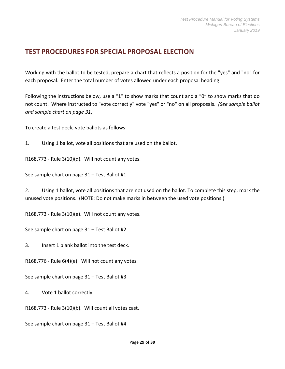# <span id="page-28-0"></span>**TEST PROCEDURES FOR SPECIAL PROPOSAL ELECTION**

Working with the ballot to be tested, prepare a chart that reflects a position for the "yes" and "no" for each proposal. Enter the total number of votes allowed under each proposal heading.

Following the instructions below, use a "1" to show marks that count and a "0" to show marks that do not count. Where instructed to "vote correctly" vote "yes" or "no" on all proposals. *(See sample ballot and sample chart on page 31)* 

To create a test deck, vote ballots as follows:

1. Using 1 ballot, vote all positions that are used on the ballot.

R168.773 - Rule 3(10)(d). Will not count any votes.

See sample chart on page 31 – Test Ballot #1

2. Using 1 ballot, vote all positions that are not used on the ballot. To complete this step, mark the unused vote positions. (NOTE: Do not make marks in between the used vote positions.)

R168.773 - Rule 3(10)(e). Will not count any votes.

See sample chart on page 31 – Test Ballot #2

3. Insert 1 blank ballot into the test deck.

R168.776 - Rule 6(4)(e). Will not count any votes.

See sample chart on page 31 – Test Ballot #3

4. Vote 1 ballot correctly.

R168.773 - Rule 3(10)(b). Will count all votes cast.

See sample chart on page 31 – Test Ballot #4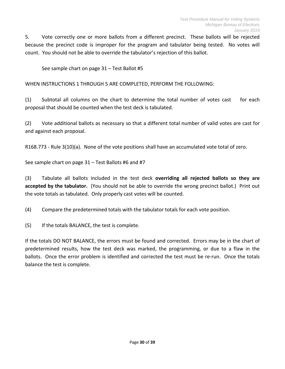5. Vote correctly one or more ballots from a different precinct. These ballots will be rejected because the precinct code is improper for the program and tabulator being tested. No votes will count. You should not be able to override the tabulator's rejection of this ballot.

See sample chart on page 31 – Test Ballot #5

WHEN INSTRUCTIONS 1 THROUGH 5 ARE COMPLETED, PERFORM THE FOLLOWING:

(1) Subtotal all columns on the chart to determine the total number of votes cast for each proposal that should be counted when the test deck is tabulated.

(2) Vote additional ballots as necessary so that a different total number of valid votes are cast for and against each proposal.

R168.773 - Rule 3(10)(a). None of the vote positions shall have an accumulated vote total of zero.

See sample chart on page 31 – Test Ballots #6 and #7

(3) Tabulate all ballots included in the test deck **overriding all rejected ballots so they are accepted by the tabulator.** (You should not be able to override the wrong precinct ballot.) Print out the vote totals as tabulated. Only properly cast votes will be counted.

(4) Compare the predetermined totals with the tabulator totals for each vote position.

(5) If the totals BALANCE, the test is complete.

If the totals DO NOT BALANCE, the errors must be found and corrected. Errors may be in the chart of predetermined results, how the test deck was marked, the programming, or due to a flaw in the ballots. Once the error problem is identified and corrected the test must be re-run. Once the totals balance the test is complete.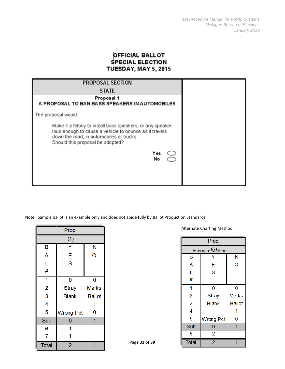#### **OFFICIAL BALLOT SPECIAL ELECTION TUESDAY, MAY 5, 2015**

| PROPOSAL SECTION                                                                                                                                                                                                 |
|------------------------------------------------------------------------------------------------------------------------------------------------------------------------------------------------------------------|
| <b>STATE</b>                                                                                                                                                                                                     |
| Proposal 1<br>A PROPOSAL TO BAN BASS SPEAKERS IN AUTOMOBILES                                                                                                                                                     |
| The proposal would:                                                                                                                                                                                              |
| Make it a felony to install bass speakers, or any speaker<br>loud enough to cause a vehicle to bounce as it travels<br>down the road, in automobiles or trucks.<br>Should this proposal be adopted?<br>Yes<br>No |
|                                                                                                                                                                                                                  |

Note: Sample ballot is an example only and does not abide fully by Ballot Production Standards

|                | Prop.            |               |
|----------------|------------------|---------------|
|                | (1)              |               |
| B              | Y                | N             |
| A              | E                | Ō             |
| L              | S                |               |
| #              |                  |               |
| 1              | 0                | 0             |
| $\overline{c}$ | <b>Stray</b>     | <b>Marks</b>  |
| 3              | <b>Blank</b>     | <b>Ballot</b> |
| 4              |                  | 1             |
| 5              | <b>Wrong Pct</b> | 0             |
| Sub            | 0                | 1             |
| 6              | 1                |               |
| 7              | 1                |               |
| <b>Total</b>   | $\overline{2}$   |               |

Alternate Charting Method

| Prop.            |                  |               |  |  |  |  |  |  |  |  |  |  |
|------------------|------------------|---------------|--|--|--|--|--|--|--|--|--|--|
| Alternate Method |                  |               |  |  |  |  |  |  |  |  |  |  |
| В                |                  | N             |  |  |  |  |  |  |  |  |  |  |
| A                | E                | O             |  |  |  |  |  |  |  |  |  |  |
| L                | S                |               |  |  |  |  |  |  |  |  |  |  |
| #                |                  |               |  |  |  |  |  |  |  |  |  |  |
| 1                | 0                | 0             |  |  |  |  |  |  |  |  |  |  |
| 2                | <b>Stray</b>     | <b>Marks</b>  |  |  |  |  |  |  |  |  |  |  |
| 3                | Blank            | <b>Ballot</b> |  |  |  |  |  |  |  |  |  |  |
| 4                |                  |               |  |  |  |  |  |  |  |  |  |  |
| 5                | <b>Wrong Pct</b> | 0             |  |  |  |  |  |  |  |  |  |  |
| Sub              | 0                |               |  |  |  |  |  |  |  |  |  |  |
| 6                | 2                |               |  |  |  |  |  |  |  |  |  |  |
| <b>Total</b>     | $\overline{2}$   |               |  |  |  |  |  |  |  |  |  |  |

<span id="page-30-0"></span>Page **31** of **39**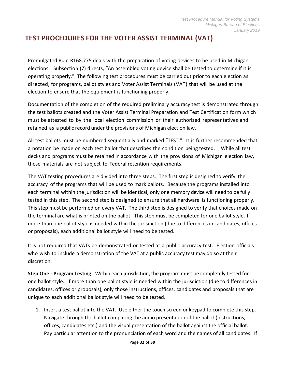# <span id="page-31-0"></span>**TEST PROCEDURES FOR THE VOTER ASSIST TERMINAL (VAT)**

Promulgated Rule R168.775 deals with the preparation of voting devices to be used in Michigan elections. Subsection (7) directs, "An assembled voting device shall be tested to determine if it is operating properly." The following test procedures must be carried out prior to each election as directed, for programs, ballot styles and Voter Assist Terminals (VAT) that will be used at the election to ensure that the equipment is functioning properly.

Documentation of the completion of the required preliminary accuracy test is demonstrated through the test ballots created and the Voter Assist Terminal Preparation and Test Certification form which must be attested to by the local election commission or their authorized representatives and retained as a public record under the provisions of Michigan election law.

All test ballots must be numbered sequentially and marked "TEST." It is further recommended that a notation be made on each test ballot that describes the condition being tested. While all test decks and programs must be retained in accordance with the provisions of Michigan election law, these materials are not subject to Federal retention requirements.

The VAT testing procedures are divided into three steps. The first step is designed to verify the accuracy of the programs that will be used to mark ballots. Because the programs installed into each terminal within the jurisdiction will be identical, only one memory device will need to be fully tested in this step. The second step is designed to ensure that all hardware is functioning properly. This step must be performed on every VAT. The third step is designed to verify that choices made on the terminal are what is printed on the ballot. This step must be completed for one ballot style. If more than one ballot style is needed within the jurisdiction (due to differences in candidates, offices or proposals), each additional ballot style will need to be tested.

It is not required that VATs be demonstrated or tested at a public accuracy test. Election officials who wish to include a demonstration of the VAT at a public accuracy test may do so at their discretion.

**Step One - Program Testing** Within each jurisdiction, the program must be completely tested for one ballot style. If more than one ballot style is needed within the jurisdiction (due to differences in candidates, offices or proposals), only those instructions, offices, candidates and proposals that are unique to each additional ballot style will need to be tested.

1. Insert a test ballot into the VAT. Use either the touch screen or keypad to complete this step. Navigate through the ballot comparing the audio presentation of the ballot (instructions, offices, candidates etc.) and the visual presentation of the ballot against the official ballot. Pay particular attention to the pronunciation of each word and the names of all candidates. If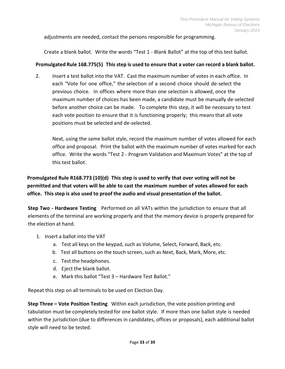adjustments are needed, contact the persons responsible for programming.

Create a blank ballot. Write the words "Test 1 - Blank Ballot" at the top of this test ballot.

#### **Promulgated Rule 168.775(5) This step is used to ensure that a voter can record a blank ballot.**

2. Insert a test ballot into the VAT. Cast the maximum number of votes in each office. In each "Vote for one office," the selection of a second choice should de-select the previous choice. In offices where more than one selection is allowed, once the maximum number of choices has been made, a candidate must be manually de-selected before another choice can be made. To complete this step, it will be necessary to test each vote position to ensure that it is functioning properly; this meansthat all vote positions must be selected and de-selected.

Next, using the same ballot style, record the maximum number of votes allowed for each office and proposal. Print the ballot with the maximum number of votes marked for each office. Write the words "Test 2 - Program Validation and Maximum Votes" at the top of this test ballot.

**Promulgated Rule R168.773 (10)(d) This step is used to verify that over voting will not be permitted and that voters will be able to cast the maximum number of votes allowed for each office. This step is also used to proof the audio and visual presentation of the ballot.**

**Step Two - Hardware Testing** Performed on all VATs within the jurisdiction to ensure that all elements of the terminal are working properly and that the memory device is properly prepared for the election at hand.

- 1. Insert a ballot into the VAT
	- a. Test all keys on the keypad, such as Volume, Select, Forward, Back, etc.
	- b. Test all buttons on the touch screen, such as Next, Back, Mark, More, etc.
	- c. Test the headphones.
	- d. Eject the blank ballot.
	- e. Mark this ballot "Test 3 Hardware Test Ballot."

Repeat this step on all terminals to be used on Election Day.

**Step Three – Vote Position Testing** Within each jurisdiction, the vote position printing and tabulation must be completely tested for one ballot style. If more than one ballot style is needed within the jurisdiction (due to differences in candidates, offices or proposals), each additional ballot style will need to be tested.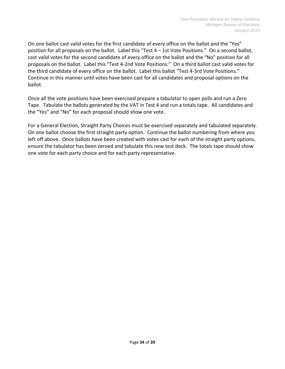On one ballot cast valid votes for the first candidate of every office on the ballot and the "Yes" position for all proposals on the ballot. Label this "Test 4 – 1st Vote Positions." On a second ballot, cast valid votes for the second candidate of every office on the ballot and the "No" position for all proposals on the ballot. Label this "Test 4-2nd Vote Positions." On a third ballot cast valid votes for the third candidate of every office on the ballot. Label this ballot "Test 4-3rd Vote Positions." Continue in this manner until votes have been cast for all candidates and proposal options on the ballot.

Once all the vote positions have been exercised prepare a tabulator to open polls and run a Zero Tape. Tabulate the ballots generated by the VAT in Test 4 and run a totals tape. All candidates and the "Yes" and "No" for each proposal should show one vote.

For a General Election, Straight Party Choices must be exercised separately and tabulated separately. On one ballot choose the first straight party option. Continue the ballot numbering from where you left off above. Once ballots have been created with votes cast for each of the straight party options, ensure the tabulator has been zeroed and tabulate this new test deck. The totals tape should show one vote for each party choice and for each party representative.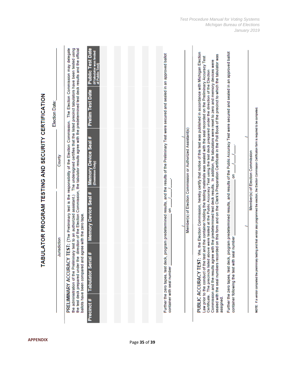The Election Commission may delegate The undersigned certifies that the listed precinct tabulators have been tested using the test deck prepared under the direction of the Election Commission, the tabulator results agree with the predetermined test deck results and the official **Public Test Date** (if tabulator was tested<br>at Public Test) PUBLIC ACCURACY TEST: We, the Election Commission, hereby certify that notice of this test was published in accordance with Michigan Election Further the zero tapes, test deck, program predetermined results, and results of the Public Accuracy Test were secured and sealed in an approved ballot Further the zero tapes, test deck, program predetermined results, and the results of the Preliminary Test were secured and sealed in an approved ballot sealed with the seal numbers recorded on this form and on the Clerk's Preparation Certificate in the Poll Book of the precinct to which the tabulator was Law prior to the conduct of the test and the container holding the testing materials was sealed with the seal recorded on the Preliminary Accuracy Test Commission and the results agree with the predetermined test deck results. In addition, the tabulators were reset to zero and memory devices were The precincts listed above were tested at the Public Accuracy Test using the test deck prepared under the direction of the Election **Prelim Test Date** TABULATOR PROGRAM TESTING AND SECURITY CERTIFICATION Election Date: NOTE: If a vendor completed the preliminary testing and that vendor also programmed the election, the Election Commission Certification form is required to be completed. PRELIMINARY ACCURACY TEST: (The Preliminary test is the responsibility of the Election Commission. Member(s) of Election Commission or Authorized Assistant(s) **Memory Device Seal #** Member(s) of Election Commission County Only) Dominio g **Memory Device Seal #** the administration of the Preliminary test to an authorized assistant.) g ballots have been compared and agree with the zero tape. container following the test with seal number Jurisdiction Tabulator Serial # container with seal number Certificate. assigned. Precinct #

Page **<sup>35</sup>** of **<sup>39</sup> APPENDIX**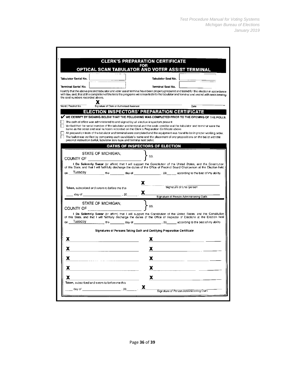|                                  |                                                                                                                                                                     | <b>CLERK'S PREPARATION CERTIFICATE</b><br>FOR                                                                                                                                                                                                                                                                                                                                                                                                                                                                                                                                             |
|----------------------------------|---------------------------------------------------------------------------------------------------------------------------------------------------------------------|-------------------------------------------------------------------------------------------------------------------------------------------------------------------------------------------------------------------------------------------------------------------------------------------------------------------------------------------------------------------------------------------------------------------------------------------------------------------------------------------------------------------------------------------------------------------------------------------|
|                                  |                                                                                                                                                                     | OPTICAL SCAN TABULATOR AND VOTER ASSIST TERMINAL                                                                                                                                                                                                                                                                                                                                                                                                                                                                                                                                          |
| Tabulator Serial No. I           |                                                                                                                                                                     | Tabulator Seal No.                                                                                                                                                                                                                                                                                                                                                                                                                                                                                                                                                                        |
| Terminal Serial No.              |                                                                                                                                                                     | Terminal Seal No.                                                                                                                                                                                                                                                                                                                                                                                                                                                                                                                                                                         |
| the seal numbers recorded above. |                                                                                                                                                                     | I cert fy that the above precinct tabulator and voter assist terminal have been properly prepared and tested for this election in accordance<br>with law, and, that at the completion of the tests the programs were inserted into the tabulator and terminal and sealed with seals bearing                                                                                                                                                                                                                                                                                               |
| Ward / Precinct No.              | Х<br>Signature of Clerk or Authorized Assistant                                                                                                                     | Date                                                                                                                                                                                                                                                                                                                                                                                                                                                                                                                                                                                      |
|                                  |                                                                                                                                                                     | <b>ELECTION INSPECTORS' PREPARATION CERTIFICATE</b>                                                                                                                                                                                                                                                                                                                                                                                                                                                                                                                                       |
|                                  | The oath of office was administered to and signed by all election inspectors present.<br>precinct instruction ballot, tabulator zero tape and terminal test ballot. | WE CERTIFY BY SIGNING BELOW THAT THE FOLLOWING WAS COMPLETED PRIOR TO THE OPENING OF THE POLLS.<br>Verified that the serial number of the tabulator and terminal and the seals used to seal the tabulator and terminal were the<br>same as the serial and seal numbers recorded on the Clerk's Preparation Certificate above.<br>All preparation tests of the tabulator and terminal were completed and the equipment was found to be in proper working order,<br>The ballot was verified by comparing each candidate's name and the placement of any propositions on the ballot with the |
|                                  |                                                                                                                                                                     | <b>OATHS OF INSPECTORS OF ELECTION</b>                                                                                                                                                                                                                                                                                                                                                                                                                                                                                                                                                    |
| <b>COUNTY OF</b>                 | STATE OF MICHIGAN.                                                                                                                                                  | SS.                                                                                                                                                                                                                                                                                                                                                                                                                                                                                                                                                                                       |
|                                  |                                                                                                                                                                     | I Do Solemnly Swear (or affirm) that I will support the Constitution of the United States, and the Constitution<br>of this State, and that I will faithfully discharge the duties of the Office of Precinct Board Chairperson at the Election held                                                                                                                                                                                                                                                                                                                                        |
|                                  |                                                                                                                                                                     | on Tuesday the the day of 20 according to the best of my ability.                                                                                                                                                                                                                                                                                                                                                                                                                                                                                                                         |
|                                  |                                                                                                                                                                     | X.                                                                                                                                                                                                                                                                                                                                                                                                                                                                                                                                                                                        |
|                                  | Taken, subscribed and sworn to before me this                                                                                                                       | Signature of Cha rperson                                                                                                                                                                                                                                                                                                                                                                                                                                                                                                                                                                  |
|                                  |                                                                                                                                                                     | X.<br>Signature of Person Administering Oath                                                                                                                                                                                                                                                                                                                                                                                                                                                                                                                                              |
|                                  | STATE OF MICHIGAN.                                                                                                                                                  | ' SS.                                                                                                                                                                                                                                                                                                                                                                                                                                                                                                                                                                                     |
|                                  | COUNTY OF <u>Andrew Article</u>                                                                                                                                     |                                                                                                                                                                                                                                                                                                                                                                                                                                                                                                                                                                                           |
|                                  |                                                                                                                                                                     | I Do Solemnly Swear (or affirm) that I will support the Constitution of the United States, and the Constitution<br>of this State, and that I will faithfully discharge the duties of the Office of Inspector of Elections at the Election held                                                                                                                                                                                                                                                                                                                                            |
|                                  |                                                                                                                                                                     | on Tuesday the and a state of the control of the best of my ability.                                                                                                                                                                                                                                                                                                                                                                                                                                                                                                                      |
|                                  |                                                                                                                                                                     | Signatures of Persons Taking Oath and Certifying Preparation Certificate                                                                                                                                                                                                                                                                                                                                                                                                                                                                                                                  |
| x                                |                                                                                                                                                                     | x                                                                                                                                                                                                                                                                                                                                                                                                                                                                                                                                                                                         |
| х                                |                                                                                                                                                                     |                                                                                                                                                                                                                                                                                                                                                                                                                                                                                                                                                                                           |
|                                  |                                                                                                                                                                     | х                                                                                                                                                                                                                                                                                                                                                                                                                                                                                                                                                                                         |
| x                                |                                                                                                                                                                     | X                                                                                                                                                                                                                                                                                                                                                                                                                                                                                                                                                                                         |
| X                                |                                                                                                                                                                     | X                                                                                                                                                                                                                                                                                                                                                                                                                                                                                                                                                                                         |
|                                  |                                                                                                                                                                     |                                                                                                                                                                                                                                                                                                                                                                                                                                                                                                                                                                                           |
| x                                |                                                                                                                                                                     | X                                                                                                                                                                                                                                                                                                                                                                                                                                                                                                                                                                                         |
|                                  |                                                                                                                                                                     |                                                                                                                                                                                                                                                                                                                                                                                                                                                                                                                                                                                           |
| day of                           | Taken, subscribed and sworn to before me this                                                                                                                       | x<br>Signature of Person Administering Oath                                                                                                                                                                                                                                                                                                                                                                                                                                                                                                                                               |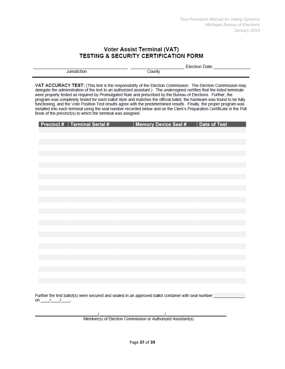#### **Voter Assist Terminal (VAT) TESTING & SECURITY CERTIFICATION FORM**

VAT ACCURACY TEST: (This test is the responsibility of the Election Commission. The Election Commission may delegate the administration of the test to an authorized assistant.) The undersigned certifies that the listed terminals were properly tested as required by Promulgated Rule and prescribed by the Bureau of Elections. Further, the program was completely tested for each ballot style and matches the official ballot, the hardware was found to be fully functioning, and the Vote Position Test results agree with the predetermined results. Finally, the proper program was installed into each terminal using the seal number recorded below and on the Clerk's Preparation Certificate in the Poll Book of the precinct(s) to which the terminal was assigned.

| <b>Precinct #   Terminal Serial #</b> | Memory Device Seal #   Date of Test |  |
|---------------------------------------|-------------------------------------|--|
|                                       |                                     |  |
|                                       |                                     |  |
|                                       |                                     |  |
|                                       |                                     |  |
|                                       |                                     |  |
|                                       |                                     |  |
|                                       |                                     |  |
|                                       |                                     |  |
|                                       |                                     |  |
|                                       |                                     |  |
|                                       |                                     |  |
|                                       |                                     |  |
|                                       |                                     |  |
|                                       |                                     |  |
|                                       |                                     |  |
|                                       |                                     |  |
|                                       |                                     |  |
|                                       |                                     |  |
|                                       |                                     |  |
|                                       |                                     |  |
|                                       |                                     |  |
|                                       |                                     |  |
|                                       |                                     |  |
|                                       |                                     |  |
|                                       |                                     |  |
|                                       |                                     |  |
|                                       |                                     |  |

Further the test ballot(s) were secured and sealed in an approved ballot container with seal number on  $1$   $1$   $1$ 

Member(s) of Election Commission or Authorized Assistant(s)